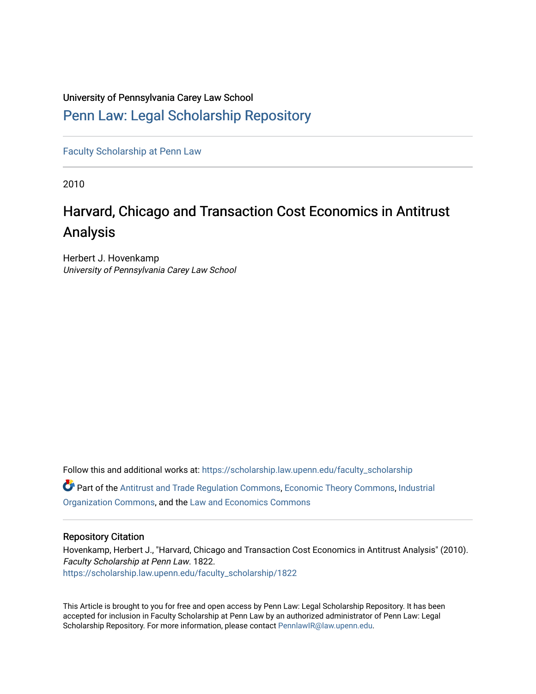#### University of Pennsylvania Carey Law School

# [Penn Law: Legal Scholarship Repository](https://scholarship.law.upenn.edu/)

[Faculty Scholarship at Penn Law](https://scholarship.law.upenn.edu/faculty_scholarship)

2010

# Harvard, Chicago and Transaction Cost Economics in Antitrust Analysis

Herbert J. Hovenkamp University of Pennsylvania Carey Law School

Follow this and additional works at: [https://scholarship.law.upenn.edu/faculty\\_scholarship](https://scholarship.law.upenn.edu/faculty_scholarship?utm_source=scholarship.law.upenn.edu%2Ffaculty_scholarship%2F1822&utm_medium=PDF&utm_campaign=PDFCoverPages)  Part of the [Antitrust and Trade Regulation Commons,](http://network.bepress.com/hgg/discipline/911?utm_source=scholarship.law.upenn.edu%2Ffaculty_scholarship%2F1822&utm_medium=PDF&utm_campaign=PDFCoverPages) [Economic Theory Commons](http://network.bepress.com/hgg/discipline/344?utm_source=scholarship.law.upenn.edu%2Ffaculty_scholarship%2F1822&utm_medium=PDF&utm_campaign=PDFCoverPages), [Industrial](http://network.bepress.com/hgg/discipline/347?utm_source=scholarship.law.upenn.edu%2Ffaculty_scholarship%2F1822&utm_medium=PDF&utm_campaign=PDFCoverPages)  [Organization Commons](http://network.bepress.com/hgg/discipline/347?utm_source=scholarship.law.upenn.edu%2Ffaculty_scholarship%2F1822&utm_medium=PDF&utm_campaign=PDFCoverPages), and the [Law and Economics Commons](http://network.bepress.com/hgg/discipline/612?utm_source=scholarship.law.upenn.edu%2Ffaculty_scholarship%2F1822&utm_medium=PDF&utm_campaign=PDFCoverPages) 

#### Repository Citation

Hovenkamp, Herbert J., "Harvard, Chicago and Transaction Cost Economics in Antitrust Analysis" (2010). Faculty Scholarship at Penn Law. 1822. [https://scholarship.law.upenn.edu/faculty\\_scholarship/1822](https://scholarship.law.upenn.edu/faculty_scholarship/1822?utm_source=scholarship.law.upenn.edu%2Ffaculty_scholarship%2F1822&utm_medium=PDF&utm_campaign=PDFCoverPages)

This Article is brought to you for free and open access by Penn Law: Legal Scholarship Repository. It has been accepted for inclusion in Faculty Scholarship at Penn Law by an authorized administrator of Penn Law: Legal Scholarship Repository. For more information, please contact [PennlawIR@law.upenn.edu.](mailto:PennlawIR@law.upenn.edu)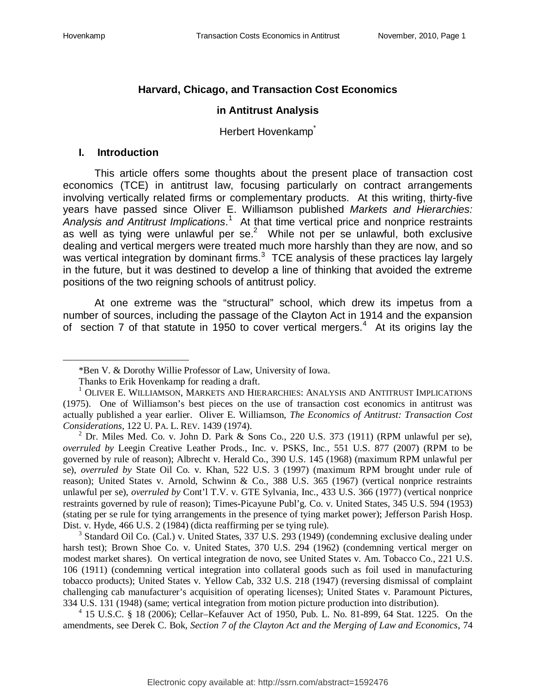# **Harvard, Chicago, and Transaction Cost Economics**

#### **in Antitrust Analysis**

Herbert Hovenkamp<sup>\*</sup>

#### **I. Introduction**

This article offers some thoughts about the present place of transaction cost economics (TCE) in antitrust law, focusing particularly on contract arrangements involving vertically related firms or complementary products. At this writing, thirty-five years have passed since Oliver E. Williamson published *Markets and Hierarchies:*  Analysis and Antitrust Implications.<sup>1</sup> At that time vertical price and nonprice restraints as well as tying were unlawful per se. $2$  While not per se unlawful, both exclusive dealing and vertical mergers were treated much more harshly than they are now, and so was vertical integration by dominant firms. $3$  TCE analysis of these practices lay largely in the future, but it was destined to develop a line of thinking that avoided the extreme positions of the two reigning schools of antitrust policy.

At one extreme was the "structural" school, which drew its impetus from a number of sources, including the passage of the Clayton Act in 1914 and the expansion of section 7 of that statute in 1950 to cover vertical mergers.<sup>4</sup> At its origins lay the

<sup>\*</sup>Ben V. & Dorothy Willie Professor of Law, University of Iowa.

Thanks to Erik Hovenkamp for reading a draft.

<sup>&</sup>lt;sup>1</sup> OLIVER E. WILLIAMSON, MARKETS AND HIERARCHIES: ANALYSIS AND ANTITRUST IMPLICATIONS (1975). One of Williamson's best pieces on the use of transaction cost economics in antitrust was actually published a year earlier. Oliver E. Williamson, *The Economics of Antitrust: Transaction Cost Considerations*, 122 U. PA. L. REV. 1439 (1974).

<sup>&</sup>lt;sup>2</sup> Dr. Miles Med. Co. v. John D. Park & Sons Co., 220 U.S. 373 (1911) (RPM unlawful per se), *overruled by* Leegin Creative Leather Prods., Inc. v. PSKS, Inc., 551 U.S. 877 (2007) (RPM to be governed by rule of reason); Albrecht v. Herald Co., 390 U.S. 145 (1968) (maximum RPM unlawful per se), *overruled by* State Oil Co. v. Khan, 522 U.S. 3 (1997) (maximum RPM brought under rule of reason); United States v. Arnold, Schwinn & Co., 388 U.S. 365 (1967) (vertical nonprice restraints unlawful per se), *overruled by* Cont'l T.V. v. GTE Sylvania, Inc., 433 U.S. 366 (1977) (vertical nonprice restraints governed by rule of reason); Times-Picayune Publ'g. Co. v. United States, 345 U.S. 594 (1953) (stating per se rule for tying arrangements in the presence of tying market power); Jefferson Parish Hosp. Dist. v. Hyde, 466 U.S. 2 (1984) (dicta reaffirming per se tying rule).

<sup>&</sup>lt;sup>3</sup> Standard Oil Co. (Cal.) v. United States, 337 U.S. 293 (1949) (condemning exclusive dealing under harsh test); Brown Shoe Co. v. United States, 370 U.S. 294 (1962) (condemning vertical merger on modest market shares). On vertical integration de novo, see United States v. Am. Tobacco Co., 221 U.S. 106 (1911) (condemning vertical integration into collateral goods such as foil used in manufacturing tobacco products); United States v. Yellow Cab, 332 U.S. 218 (1947) (reversing dismissal of complaint challenging cab manufacturer's acquisition of operating licenses); United States v. Paramount Pictures, 334 U.S. 131 (1948) (same; vertical integration from motion picture production into distribution).

<sup>4</sup> 15 U.S.C. § 18 (2006); Cellar–Kefauver Act of 1950, Pub. L. No. 81-899, 64 Stat. 1225. On the amendments, see Derek C. Bok, *Section 7 of the Clayton Act and the Merging of Law and Economics*, 74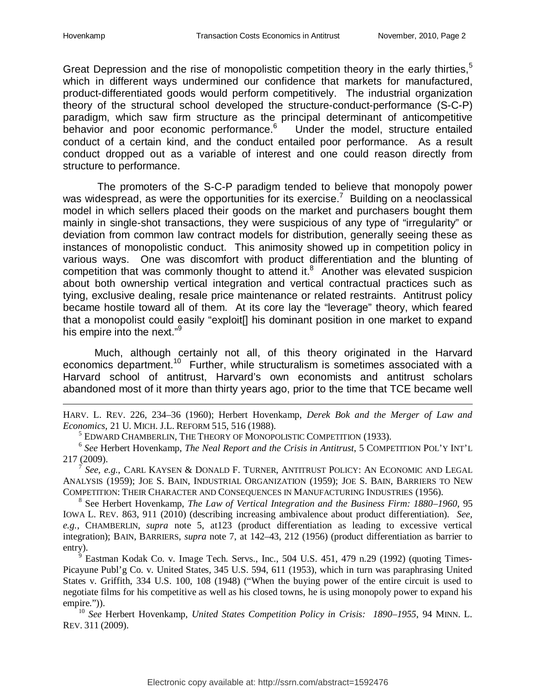Great Depression and the rise of monopolistic competition theory in the early thirties,<sup>5</sup> which in different ways undermined our confidence that markets for manufactured, product-differentiated goods would perform competitively. The industrial organization theory of the structural school developed the structure-conduct-performance (S-C-P) paradigm, which saw firm structure as the principal determinant of anticompetitive behavior and poor economic performance.<sup>6</sup> Under the model, structure entailed conduct of a certain kind, and the conduct entailed poor performance. As a result conduct dropped out as a variable of interest and one could reason directly from structure to performance.

The promoters of the S-C-P paradigm tended to believe that monopoly power was widespread, as were the opportunities for its exercise.<sup>7</sup> Building on a neoclassical model in which sellers placed their goods on the market and purchasers bought them mainly in single-shot transactions, they were suspicious of any type of "irregularity" or deviation from common law contract models for distribution, generally seeing these as instances of monopolistic conduct. This animosity showed up in competition policy in various ways. One was discomfort with product differentiation and the blunting of competition that was commonly thought to attend it. $8$  Another was elevated suspicion about both ownership vertical integration and vertical contractual practices such as tying, exclusive dealing, resale price maintenance or related restraints. Antitrust policy became hostile toward all of them. At its core lay the "leverage" theory, which feared that a monopolist could easily "exploit[] his dominant position in one market to expand his empire into the next."<sup>9</sup>

Much, although certainly not all, of this theory originated in the Harvard economics department.<sup>10</sup> Further, while structuralism is sometimes associated with a Harvard school of antitrust, Harvard's own economists and antitrust scholars abandoned most of it more than thirty years ago, prior to the time that TCE became well

HARV. L. REV. 226, 234–36 (1960); Herbert Hovenkamp, *Derek Bok and the Merger of Law and Economics*, 21 U. MICH. J.L. REFORM 515, 516 (1988).

 $5$  EDWARD CHAMBERLIN, THE THEORY OF MONOPOLISTIC COMPETITION (1933).

<sup>6</sup> See Herbert Hovenkamp, *The Neal Report and the Crisis in Antitrust*, 5 COMPETITION POL'Y INT'L 217 (2009).

7 *See, e.g.*, CARL KAYSEN & DONALD F. TURNER, ANTITRUST POLICY: AN ECONOMIC AND LEGAL ANALYSIS (1959); JOE S. BAIN, INDUSTRIAL ORGANIZATION (1959); JOE S. BAIN, BARRIERS TO NEW COMPETITION: THEIR CHARACTER AND CONSEQUENCES IN MANUFACTURING INDUSTRIES (1956).

8 See Herbert Hovenkamp, *The Law of Vertical Integration and the Business Firm: 1880–1960*, 95 IOWA L. REV. 863, 911 (2010) (describing increasing ambivalence about product differentiation). *See, e.g.*, CHAMBERLIN, *supra* note 5, at123 (product differentiation as leading to excessive vertical integration); BAIN, BARRIERS, *supra* note 7, at 142–43, 212 (1956) (product differentiation as barrier to entry).

Eastman Kodak Co. v. Image Tech. Servs., Inc., 504 U.S. 451, 479 n.29 (1992) (quoting Times-Picayune Publ'g Co. v. United States, 345 U.S. 594, 611 (1953), which in turn was paraphrasing United States v. Griffith, 334 U.S. 100, 108 (1948) ("When the buying power of the entire circuit is used to negotiate films for his competitive as well as his closed towns, he is using monopoly power to expand his empire.")).

<sup>10</sup> *See* Herbert Hovenkamp, *United States Competition Policy in Crisis: 1890–1955*, 94 MINN. L. REV. 311 (2009).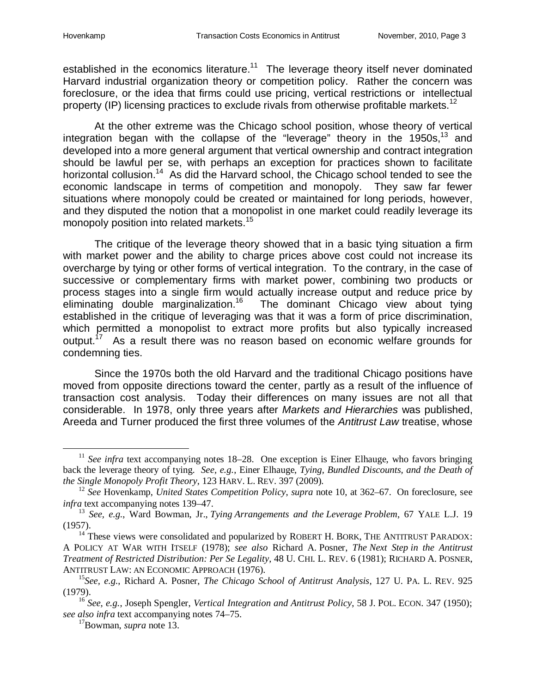established in the economics literature.<sup>11</sup> The leverage theory itself never dominated Harvard industrial organization theory or competition policy. Rather the concern was foreclosure, or the idea that firms could use pricing, vertical restrictions or intellectual property (IP) licensing practices to exclude rivals from otherwise profitable markets.<sup>12</sup>

At the other extreme was the Chicago school position, whose theory of vertical integration began with the collapse of the "leverage" theory in the 1950s,  $13$  and developed into a more general argument that vertical ownership and contract integration should be lawful per se, with perhaps an exception for practices shown to facilitate horizontal collusion.<sup>14</sup> As did the Harvard school, the Chicago school tended to see the economic landscape in terms of competition and monopoly. They saw far fewer situations where monopoly could be created or maintained for long periods, however, and they disputed the notion that a monopolist in one market could readily leverage its monopoly position into related markets.<sup>15</sup>

The critique of the leverage theory showed that in a basic tying situation a firm with market power and the ability to charge prices above cost could not increase its overcharge by tying or other forms of vertical integration. To the contrary, in the case of successive or complementary firms with market power, combining two products or process stages into a single firm would actually increase output and reduce price by eliminating double marginalization.<sup>16</sup> The dominant Chicago view about tying established in the critique of leveraging was that it was a form of price discrimination, which permitted a monopolist to extract more profits but also typically increased output.<sup>17</sup> As a result there was no reason based on economic welfare grounds for condemning ties.

Since the 1970s both the old Harvard and the traditional Chicago positions have moved from opposite directions toward the center, partly as a result of the influence of transaction cost analysis. Today their differences on many issues are not all that considerable. In 1978, only three years after *Markets and Hierarchies* was published, Areeda and Turner produced the first three volumes of the *Antitrust Law* treatise, whose

l

<sup>&</sup>lt;sup>11</sup> *See infra* text accompanying notes 18–28. One exception is Einer Elhauge, who favors bringing back the leverage theory of tying. *See, e.g.*, Einer Elhauge, *Tying, Bundled Discounts, and the Death of the Single Monopoly Profit Theory*, 123 HARV. L. REV. 397 (2009).

<sup>12</sup> *See* Hovenkamp, *United States Competition Policy*, *supra* note 10, at 362–67. On foreclosure, see *infra* text accompanying notes 139–47.

<sup>13</sup> *See, e.g.*, Ward Bowman, Jr., *Tying Arrangements and the Leverage Problem*, 67 YALE L.J. 19 (1957).

 $14$  These views were consolidated and popularized by ROBERT H. BORK, THE ANTITRUST PARADOX: A POLICY AT WAR WITH ITSELF (1978); *see also* Richard A. Posner, *The Next Step in the Antitrust Treatment of Restricted Distribution: Per Se Legality*, 48 U. CHI. L. REV. 6 (1981); RICHARD A. POSNER, ANTITRUST LAW: AN ECONOMIC APPROACH (1976).

<sup>15</sup>*See, e.g.*, Richard A. Posner, *The Chicago School of Antitrust Analysis*, 127 U. PA. L. REV. 925 (1979).

<sup>16</sup> *See, e.g.*, Joseph Spengler, *Vertical Integration and Antitrust Policy*, 58 J. POL. ECON. 347 (1950); *see also infra* text accompanying notes 74–75.

<sup>17</sup>Bowman, *supra* note 13.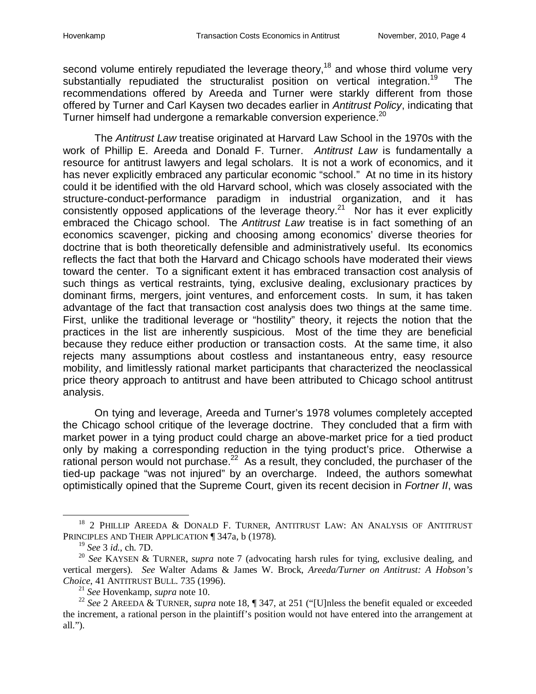second volume entirely repudiated the leverage theory,<sup>18</sup> and whose third volume very substantially repudiated the structuralist position on vertical integration.<sup>19</sup> The recommendations offered by Areeda and Turner were starkly different from those offered by Turner and Carl Kaysen two decades earlier in *Antitrust Policy*, indicating that Turner himself had undergone a remarkable conversion experience.<sup>20</sup>

The *Antitrust Law* treatise originated at Harvard Law School in the 1970s with the work of Phillip E. Areeda and Donald F. Turner. *Antitrust Law* is fundamentally a resource for antitrust lawyers and legal scholars. It is not a work of economics, and it has never explicitly embraced any particular economic "school." At no time in its history could it be identified with the old Harvard school, which was closely associated with the structure-conduct-performance paradigm in industrial organization, and it has consistently opposed applications of the leverage theory.<sup>21</sup> Nor has it ever explicitly embraced the Chicago school. The *Antitrust Law* treatise is in fact something of an economics scavenger, picking and choosing among economics' diverse theories for doctrine that is both theoretically defensible and administratively useful. Its economics reflects the fact that both the Harvard and Chicago schools have moderated their views toward the center. To a significant extent it has embraced transaction cost analysis of such things as vertical restraints, tying, exclusive dealing, exclusionary practices by dominant firms, mergers, joint ventures, and enforcement costs. In sum, it has taken advantage of the fact that transaction cost analysis does two things at the same time. First, unlike the traditional leverage or "hostility" theory, it rejects the notion that the practices in the list are inherently suspicious. Most of the time they are beneficial because they reduce either production or transaction costs. At the same time, it also rejects many assumptions about costless and instantaneous entry, easy resource mobility, and limitlessly rational market participants that characterized the neoclassical price theory approach to antitrust and have been attributed to Chicago school antitrust analysis.

On tying and leverage, Areeda and Turner's 1978 volumes completely accepted the Chicago school critique of the leverage doctrine. They concluded that a firm with market power in a tying product could charge an above-market price for a tied product only by making a corresponding reduction in the tying product's price. Otherwise a rational person would not purchase. $22$  As a result, they concluded, the purchaser of the tied-up package "was not injured" by an overcharge. Indeed, the authors somewhat optimistically opined that the Supreme Court, given its recent decision in *Fortner II*, was

 $\overline{a}$ <sup>18</sup> 2 PHILLIP AREEDA & DONALD F. TURNER, ANTITRUST LAW: AN ANALYSIS OF ANTITRUST PRINCIPLES AND THEIR APPLICATION **[347a, b (1978).** 

<sup>19</sup> *See* 3 *id.*, ch. 7D.

<sup>20</sup> *See* KAYSEN & TURNER, *supra* note 7 (advocating harsh rules for tying, exclusive dealing, and vertical mergers). *See* Walter Adams & James W. Brock, *Areeda/Turner on Antitrust: A Hobson's Choice*, 41 ANTITRUST BULL. 735 (1996).

<sup>21</sup> *See* Hovenkamp, *supra* note 10.

<sup>22</sup> *See* 2 AREEDA & TURNER, *supra* note 18, ¶ 347, at 251 ("[U]nless the benefit equaled or exceeded the increment, a rational person in the plaintiff's position would not have entered into the arrangement at all.").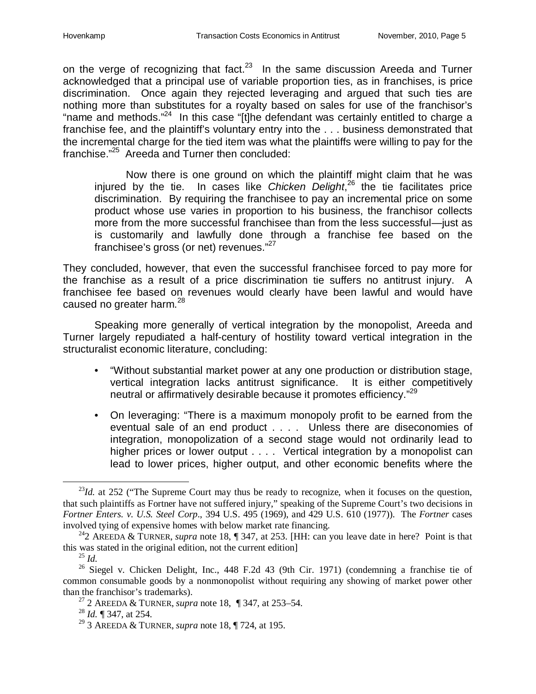on the verge of recognizing that fact. $23$  In the same discussion Areeda and Turner acknowledged that a principal use of variable proportion ties, as in franchises, is price discrimination. Once again they rejected leveraging and argued that such ties are nothing more than substitutes for a royalty based on sales for use of the franchisor's "name and methods."<sup>24</sup> In this case "[t]he defendant was certainly entitled to charge a franchise fee, and the plaintiff's voluntary entry into the . . . business demonstrated that the incremental charge for the tied item was what the plaintiffs were willing to pay for the franchise."<sup>25</sup> Areeda and Turner then concluded:

Now there is one ground on which the plaintiff might claim that he was injured by the tie. In cases like *Chicken Delight*, <sup>26</sup> the tie facilitates price discrimination. By requiring the franchisee to pay an incremental price on some product whose use varies in proportion to his business, the franchisor collects more from the more successful franchisee than from the less successful—just as is customarily and lawfully done through a franchise fee based on the franchisee's gross (or net) revenues."<sup>27</sup>

They concluded, however, that even the successful franchisee forced to pay more for the franchise as a result of a price discrimination tie suffers no antitrust injury. A franchisee fee based on revenues would clearly have been lawful and would have caused no greater harm.<sup>28</sup>

Speaking more generally of vertical integration by the monopolist, Areeda and Turner largely repudiated a half-century of hostility toward vertical integration in the structuralist economic literature, concluding:

- "Without substantial market power at any one production or distribution stage, vertical integration lacks antitrust significance. It is either competitively neutral or affirmatively desirable because it promotes efficiency."<sup>29</sup>
- On leveraging: "There is a maximum monopoly profit to be earned from the eventual sale of an end product . . . . Unless there are diseconomies of integration, monopolization of a second stage would not ordinarily lead to higher prices or lower output . . . . Vertical integration by a monopolist can lead to lower prices, higher output, and other economic benefits where the

<sup>&</sup>lt;sup>23</sup>*Id.* at 252 ("The Supreme Court may thus be ready to recognize, when it focuses on the question, that such plaintiffs as Fortner have not suffered injury," speaking of the Supreme Court's two decisions in *Fortner Enters. v. U.S. Steel Corp*., 394 U.S. 495 (1969), and 429 U.S. 610 (1977)). The *Fortner* cases involved tying of expensive homes with below market rate financing.

<sup>&</sup>lt;sup>24</sup>2 AREEDA & TURNER, *supra* note 18, ¶ 347, at 253. [HH: can you leave date in here? Point is that this was stated in the original edition, not the current edition]

<sup>25</sup> *Id.*

<sup>&</sup>lt;sup>26</sup> Siegel v. Chicken Delight, Inc., 448 F.2d 43 (9th Cir. 1971) (condemning a franchise tie of common consumable goods by a nonmonopolist without requiring any showing of market power other than the franchisor's trademarks).

<sup>27</sup> 2 AREEDA & TURNER, *supra* note 18, ¶ 347, at 253–54.

<sup>28</sup> *Id.* ¶ 347, at 254.

<sup>29</sup> 3 AREEDA & TURNER, *supra* note 18, ¶ 724, at 195.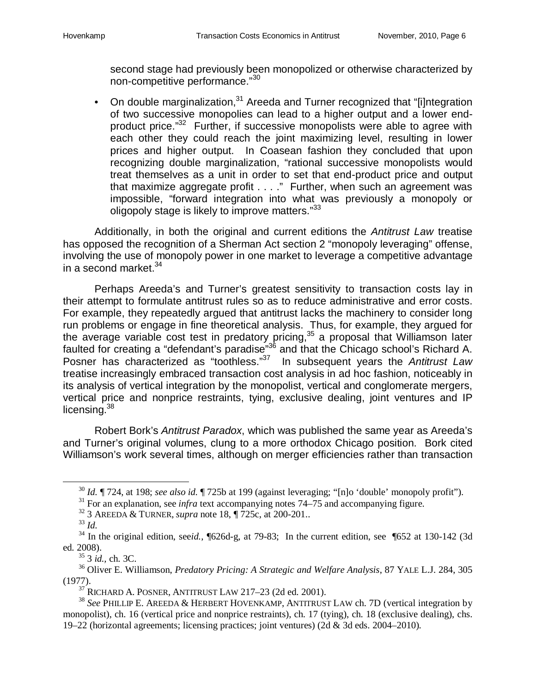second stage had previously been monopolized or otherwise characterized by non-competitive performance."<sup>30</sup>

• On double marginalization,  $31$  Areeda and Turner recognized that "[i]ntegration of two successive monopolies can lead to a higher output and a lower endproduct price."<sup>32</sup> Further, if successive monopolists were able to agree with each other they could reach the joint maximizing level, resulting in lower prices and higher output. In Coasean fashion they concluded that upon recognizing double marginalization, "rational successive monopolists would treat themselves as a unit in order to set that end-product price and output that maximize aggregate profit . . . ." Further, when such an agreement was impossible, "forward integration into what was previously a monopoly or oligopoly stage is likely to improve matters."<sup>33</sup>

Additionally, in both the original and current editions the *Antitrust Law* treatise has opposed the recognition of a Sherman Act section 2 "monopoly leveraging" offense, involving the use of monopoly power in one market to leverage a competitive advantage in a second market. $34$ 

Perhaps Areeda's and Turner's greatest sensitivity to transaction costs lay in their attempt to formulate antitrust rules so as to reduce administrative and error costs. For example, they repeatedly argued that antitrust lacks the machinery to consider long run problems or engage in fine theoretical analysis. Thus, for example, they argued for the average variable cost test in predatory pricing, $35$  a proposal that Williamson later faulted for creating a "defendant's paradise"<sup>36</sup> and that the Chicago school's Richard A. Posner has characterized as "toothless."<sup>37</sup> In subsequent years the *Antitrust Law* treatise increasingly embraced transaction cost analysis in ad hoc fashion, noticeably in its analysis of vertical integration by the monopolist, vertical and conglomerate mergers, vertical price and nonprice restraints, tying, exclusive dealing, joint ventures and IP licensing. $38$ 

Robert Bork's *Antitrust Paradox*, which was published the same year as Areeda's and Turner's original volumes, clung to a more orthodox Chicago position. Bork cited Williamson's work several times, although on merger efficiencies rather than transaction

<sup>30</sup> *Id.* ¶ 724, at 198; *see also id.* ¶ 725b at 199 (against leveraging; "[n]o 'double' monopoly profit").

<sup>&</sup>lt;sup>31</sup> For an explanation, see *infra* text accompanying notes 74–75 and accompanying figure.

<sup>32</sup> 3 AREEDA & TURNER, *supra* note 18, ¶ 725c, at 200-201..

<sup>33</sup> *Id.*

<sup>34</sup> In the original edition, see*id.*, ¶626d-g, at 79-83; In the current edition, see ¶652 at 130-142 (3d ed. 2008).

<sup>35</sup> 3 *id.,* ch. 3C.

<sup>36</sup> Oliver E. Williamson, *Predatory Pricing: A Strategic and Welfare Analysis*, 87 YALE L.J. 284, 305 (1977).

 $37$  RICHARD A. POSNER, ANTITRUST LAW 217-23 (2d ed. 2001).

<sup>38</sup> *See* PHILLIP E. AREEDA & HERBERT HOVENKAMP, ANTITRUST LAW ch. 7D (vertical integration by monopolist), ch. 16 (vertical price and nonprice restraints), ch. 17 (tying), ch. 18 (exclusive dealing), chs. 19–22 (horizontal agreements; licensing practices; joint ventures) (2d & 3d eds. 2004–2010).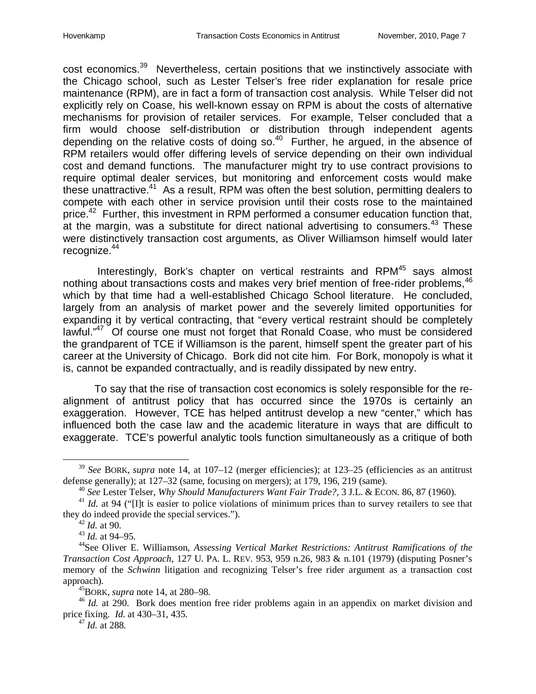cost economics.<sup>39</sup> Nevertheless, certain positions that we instinctively associate with the Chicago school, such as Lester Telser's free rider explanation for resale price maintenance (RPM), are in fact a form of transaction cost analysis. While Telser did not explicitly rely on Coase, his well-known essay on RPM is about the costs of alternative mechanisms for provision of retailer services. For example, Telser concluded that a firm would choose self-distribution or distribution through independent agents depending on the relative costs of doing so. $40$  Further, he argued, in the absence of RPM retailers would offer differing levels of service depending on their own individual cost and demand functions. The manufacturer might try to use contract provisions to require optimal dealer services, but monitoring and enforcement costs would make these unattractive.<sup>41</sup> As a result, RPM was often the best solution, permitting dealers to compete with each other in service provision until their costs rose to the maintained price.<sup>42</sup> Further, this investment in RPM performed a consumer education function that, at the margin, was a substitute for direct national advertising to consumers.<sup>43</sup> These were distinctively transaction cost arguments, as Oliver Williamson himself would later recognize.<sup>44</sup>

Interestingly, Bork's chapter on vertical restraints and RPM<sup>45</sup> says almost nothing about transactions costs and makes very brief mention of free-rider problems.<sup>46</sup> which by that time had a well-established Chicago School literature. He concluded, largely from an analysis of market power and the severely limited opportunities for expanding it by vertical contracting, that "every vertical restraint should be completely lawful."<sup>47</sup> Of course one must not forget that Ronald Coase, who must be considered the grandparent of TCE if Williamson is the parent, himself spent the greater part of his career at the University of Chicago. Bork did not cite him. For Bork, monopoly is what it is, cannot be expanded contractually, and is readily dissipated by new entry.

To say that the rise of transaction cost economics is solely responsible for the realignment of antitrust policy that has occurred since the 1970s is certainly an exaggeration. However, TCE has helped antitrust develop a new "center," which has influenced both the case law and the academic literature in ways that are difficult to exaggerate. TCE's powerful analytic tools function simultaneously as a critique of both

 $\overline{a}$ 

<sup>47</sup> *Id.* at 288.

<sup>39</sup> *See* BORK, *supra* note 14, at 107–12 (merger efficiencies); at 123–25 (efficiencies as an antitrust defense generally); at 127–32 (same, focusing on mergers); at 179, 196, 219 (same).

<sup>40</sup> *See* Lester Telser, *Why Should Manufacturers Want Fair Trade?*, 3 J.L. & ECON. 86, 87 (1960).

<sup>&</sup>lt;sup>41</sup> *Id.* at 94 ("[I]t is easier to police violations of minimum prices than to survey retailers to see that they do indeed provide the special services.").

<sup>42</sup> *Id.* at 90.

<sup>43</sup> *Id.* at 94–95.

<sup>44</sup>See Oliver E. Williamson, *Assessing Vertical Market Restrictions: Antitrust Ramifications of the Transaction Cost Approach*, 127 U. PA. L. REV. 953, 959 n.26, 983 & n.101 (1979) (disputing Posner's memory of the *Schwinn* litigation and recognizing Telser's free rider argument as a transaction cost approach).

<sup>45</sup>BORK, *supra* note 14, at 280–98.

<sup>&</sup>lt;sup>46</sup> *Id.* at 290. Bork does mention free rider problems again in an appendix on market division and price fixing. *Id.* at 430–31, 435.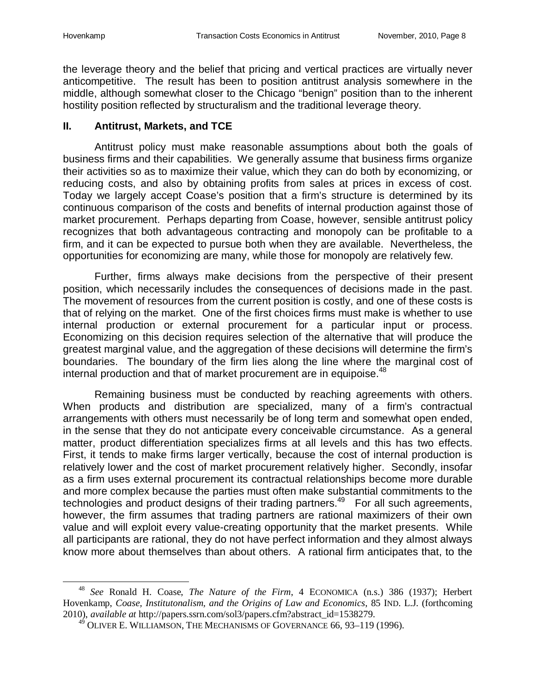the leverage theory and the belief that pricing and vertical practices are virtually never anticompetitive. The result has been to position antitrust analysis somewhere in the middle, although somewhat closer to the Chicago "benign" position than to the inherent hostility position reflected by structuralism and the traditional leverage theory.

#### **II. Antitrust, Markets, and TCE**

Antitrust policy must make reasonable assumptions about both the goals of business firms and their capabilities. We generally assume that business firms organize their activities so as to maximize their value, which they can do both by economizing, or reducing costs, and also by obtaining profits from sales at prices in excess of cost. Today we largely accept Coase's position that a firm's structure is determined by its continuous comparison of the costs and benefits of internal production against those of market procurement. Perhaps departing from Coase, however, sensible antitrust policy recognizes that both advantageous contracting and monopoly can be profitable to a firm, and it can be expected to pursue both when they are available. Nevertheless, the opportunities for economizing are many, while those for monopoly are relatively few.

Further, firms always make decisions from the perspective of their present position, which necessarily includes the consequences of decisions made in the past. The movement of resources from the current position is costly, and one of these costs is that of relying on the market. One of the first choices firms must make is whether to use internal production or external procurement for a particular input or process. Economizing on this decision requires selection of the alternative that will produce the greatest marginal value, and the aggregation of these decisions will determine the firm's boundaries. The boundary of the firm lies along the line where the marginal cost of internal production and that of market procurement are in equipoise.<sup>48</sup>

Remaining business must be conducted by reaching agreements with others. When products and distribution are specialized, many of a firm's contractual arrangements with others must necessarily be of long term and somewhat open ended, in the sense that they do not anticipate every conceivable circumstance. As a general matter, product differentiation specializes firms at all levels and this has two effects. First, it tends to make firms larger vertically, because the cost of internal production is relatively lower and the cost of market procurement relatively higher. Secondly, insofar as a firm uses external procurement its contractual relationships become more durable and more complex because the parties must often make substantial commitments to the technologies and product designs of their trading partners.<sup>49</sup> For all such agreements, however, the firm assumes that trading partners are rational maximizers of their own value and will exploit every value-creating opportunity that the market presents. While all participants are rational, they do not have perfect information and they almost always know more about themselves than about others. A rational firm anticipates that, to the

<sup>48</sup> *See* Ronald H. Coase, *The Nature of the Firm*, 4 ECONOMICA (n.s.) 386 (1937); Herbert Hovenkamp, *Coase, Institutonalism, and the Origins of Law and Economics*, 85 IND. L.J. (forthcoming 2010), *available at* http://papers.ssrn.com/sol3/papers.cfm?abstract\_id=1538279.

<sup>49</sup> OLIVER E. WILLIAMSON, THE MECHANISMS OF GOVERNANCE 66, 93–119 (1996).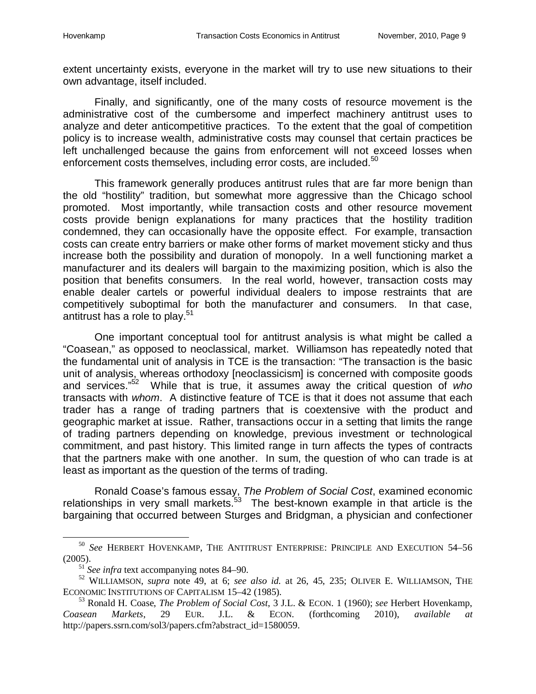extent uncertainty exists, everyone in the market will try to use new situations to their own advantage, itself included.

Finally, and significantly, one of the many costs of resource movement is the administrative cost of the cumbersome and imperfect machinery antitrust uses to analyze and deter anticompetitive practices. To the extent that the goal of competition policy is to increase wealth, administrative costs may counsel that certain practices be left unchallenged because the gains from enforcement will not exceed losses when enforcement costs themselves, including error costs, are included.<sup>50</sup>

This framework generally produces antitrust rules that are far more benign than the old "hostility" tradition, but somewhat more aggressive than the Chicago school promoted. Most importantly, while transaction costs and other resource movement costs provide benign explanations for many practices that the hostility tradition condemned, they can occasionally have the opposite effect. For example, transaction costs can create entry barriers or make other forms of market movement sticky and thus increase both the possibility and duration of monopoly. In a well functioning market a manufacturer and its dealers will bargain to the maximizing position, which is also the position that benefits consumers. In the real world, however, transaction costs may enable dealer cartels or powerful individual dealers to impose restraints that are competitively suboptimal for both the manufacturer and consumers. In that case, antitrust has a role to play.<sup>51</sup>

One important conceptual tool for antitrust analysis is what might be called a "Coasean," as opposed to neoclassical, market. Williamson has repeatedly noted that the fundamental unit of analysis in TCE is the transaction: "The transaction is the basic unit of analysis, whereas orthodoxy [neoclassicism] is concerned with composite goods and services."<sup>52</sup> While that is true, it assumes away the critical question of *who* transacts with *whom*. A distinctive feature of TCE is that it does not assume that each trader has a range of trading partners that is coextensive with the product and geographic market at issue. Rather, transactions occur in a setting that limits the range of trading partners depending on knowledge, previous investment or technological commitment, and past history. This limited range in turn affects the types of contracts that the partners make with one another. In sum, the question of who can trade is at least as important as the question of the terms of trading.

Ronald Coase's famous essay, *The Problem of Social Cost*, examined economic relationships in very small markets.<sup>53</sup> The best-known example in that article is the bargaining that occurred between Sturges and Bridgman, a physician and confectioner

<sup>50</sup> *See* HERBERT HOVENKAMP, THE ANTITRUST ENTERPRISE: PRINCIPLE AND EXECUTION 54–56 (2005).

<sup>51</sup> *See infra* text accompanying notes 84–90.

<sup>52</sup> WILLIAMSON, *supra* note 49, at 6; *see also id.* at 26, 45, 235; OLIVER E. WILLIAMSON, THE ECONOMIC INSTITUTIONS OF CAPITALISM 15–42 (1985).

<sup>53</sup> Ronald H. Coase, *The Problem of Social Cost*, 3 J.L. & ECON. 1 (1960); *see* Herbert Hovenkamp, *Coasean Markets*, 29 EUR. J.L. & ECON. (forthcoming 2010), *available at* http://papers.ssrn.com/sol3/papers.cfm?abstract\_id=1580059.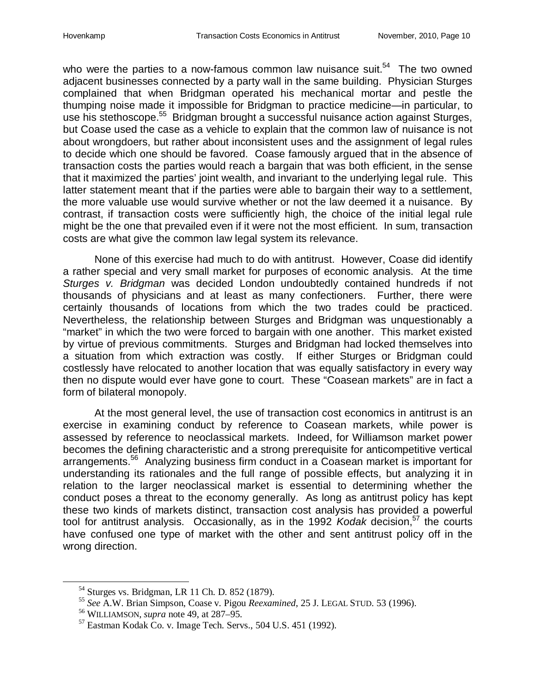who were the parties to a now-famous common law nuisance suit.<sup>54</sup> The two owned adjacent businesses connected by a party wall in the same building. Physician Sturges complained that when Bridgman operated his mechanical mortar and pestle the thumping noise made it impossible for Bridgman to practice medicine—in particular, to use his stethoscope.<sup>55</sup> Bridgman brought a successful nuisance action against Sturges, but Coase used the case as a vehicle to explain that the common law of nuisance is not about wrongdoers, but rather about inconsistent uses and the assignment of legal rules to decide which one should be favored. Coase famously argued that in the absence of transaction costs the parties would reach a bargain that was both efficient, in the sense that it maximized the parties' joint wealth, and invariant to the underlying legal rule. This latter statement meant that if the parties were able to bargain their way to a settlement, the more valuable use would survive whether or not the law deemed it a nuisance. By contrast, if transaction costs were sufficiently high, the choice of the initial legal rule might be the one that prevailed even if it were not the most efficient. In sum, transaction costs are what give the common law legal system its relevance.

None of this exercise had much to do with antitrust. However, Coase did identify a rather special and very small market for purposes of economic analysis. At the time *Sturges v. Bridgman* was decided London undoubtedly contained hundreds if not thousands of physicians and at least as many confectioners. Further, there were certainly thousands of locations from which the two trades could be practiced. Nevertheless, the relationship between Sturges and Bridgman was unquestionably a "market" in which the two were forced to bargain with one another. This market existed by virtue of previous commitments. Sturges and Bridgman had locked themselves into a situation from which extraction was costly. If either Sturges or Bridgman could costlessly have relocated to another location that was equally satisfactory in every way then no dispute would ever have gone to court. These "Coasean markets" are in fact a form of bilateral monopoly.

At the most general level, the use of transaction cost economics in antitrust is an exercise in examining conduct by reference to Coasean markets, while power is assessed by reference to neoclassical markets. Indeed, for Williamson market power becomes the defining characteristic and a strong prerequisite for anticompetitive vertical arrangements.<sup>56</sup> Analyzing business firm conduct in a Coasean market is important for understanding its rationales and the full range of possible effects, but analyzing it in relation to the larger neoclassical market is essential to determining whether the conduct poses a threat to the economy generally. As long as antitrust policy has kept these two kinds of markets distinct, transaction cost analysis has provided a powerful tool for antitrust analysis. Occasionally, as in the 1992 *Kodak* decision,<sup>57</sup> the courts have confused one type of market with the other and sent antitrust policy off in the wrong direction.

<sup>54</sup> Sturges vs. Bridgman, LR 11 Ch. D. 852 (1879).

<sup>55</sup> *See* A.W. Brian Simpson, Coase v. Pigou *Reexamined*, 25 J. LEGAL STUD. 53 (1996).

<sup>56</sup> WILLIAMSON, *supra* note 49, at 287–95.

<sup>57</sup> Eastman Kodak Co. v. Image Tech. Servs., 504 U.S. 451 (1992).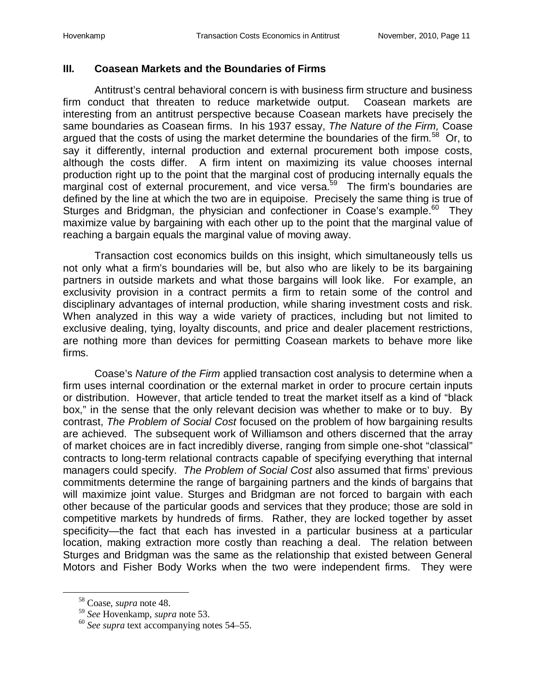#### **III. Coasean Markets and the Boundaries of Firms**

Antitrust's central behavioral concern is with business firm structure and business firm conduct that threaten to reduce marketwide output. Coasean markets are interesting from an antitrust perspective because Coasean markets have precisely the same boundaries as Coasean firms. In his 1937 essay, *The Nature of the Firm,* Coase argued that the costs of using the market determine the boundaries of the firm.<sup>58</sup> Or, to say it differently, internal production and external procurement both impose costs, although the costs differ. A firm intent on maximizing its value chooses internal production right up to the point that the marginal cost of producing internally equals the marginal cost of external procurement, and vice versa.<sup>59</sup> The firm's boundaries are defined by the line at which the two are in equipoise. Precisely the same thing is true of Sturges and Bridgman, the physician and confectioner in Coase's example.<sup>60</sup> They maximize value by bargaining with each other up to the point that the marginal value of reaching a bargain equals the marginal value of moving away.

Transaction cost economics builds on this insight, which simultaneously tells us not only what a firm's boundaries will be, but also who are likely to be its bargaining partners in outside markets and what those bargains will look like. For example, an exclusivity provision in a contract permits a firm to retain some of the control and disciplinary advantages of internal production, while sharing investment costs and risk. When analyzed in this way a wide variety of practices, including but not limited to exclusive dealing, tying, loyalty discounts, and price and dealer placement restrictions, are nothing more than devices for permitting Coasean markets to behave more like firms.

Coase's *Nature of the Firm* applied transaction cost analysis to determine when a firm uses internal coordination or the external market in order to procure certain inputs or distribution. However, that article tended to treat the market itself as a kind of "black box," in the sense that the only relevant decision was whether to make or to buy. By contrast, *The Problem of Social Cost* focused on the problem of how bargaining results are achieved. The subsequent work of Williamson and others discerned that the array of market choices are in fact incredibly diverse, ranging from simple one-shot "classical" contracts to long-term relational contracts capable of specifying everything that internal managers could specify. *The Problem of Social Cost* also assumed that firms' previous commitments determine the range of bargaining partners and the kinds of bargains that will maximize joint value. Sturges and Bridgman are not forced to bargain with each other because of the particular goods and services that they produce; those are sold in competitive markets by hundreds of firms. Rather, they are locked together by asset specificity—the fact that each has invested in a particular business at a particular location, making extraction more costly than reaching a deal. The relation between Sturges and Bridgman was the same as the relationship that existed between General Motors and Fisher Body Works when the two were independent firms. They were

<sup>58</sup> Coase, *supra* note 48.

<sup>59</sup> *See* Hovenkamp, *supra* note 53.

<sup>60</sup> *See supra* text accompanying notes 54–55.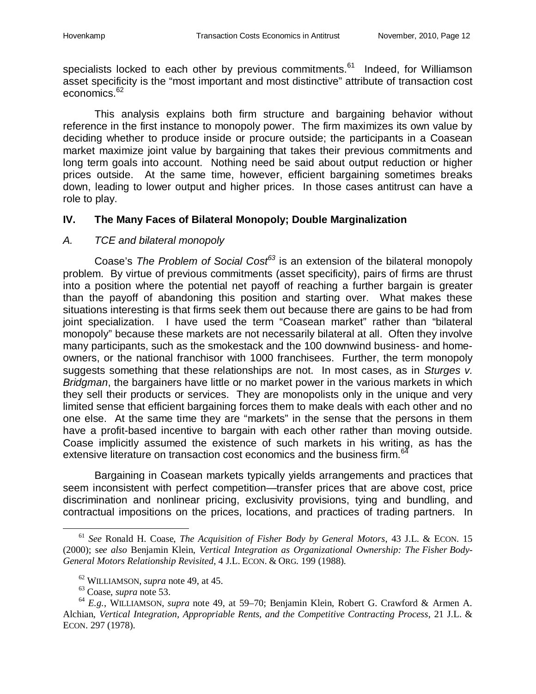specialists locked to each other by previous commitments.<sup>61</sup> Indeed, for Williamson asset specificity is the "most important and most distinctive" attribute of transaction cost economics.<sup>62</sup>

This analysis explains both firm structure and bargaining behavior without reference in the first instance to monopoly power. The firm maximizes its own value by deciding whether to produce inside or procure outside; the participants in a Coasean market maximize joint value by bargaining that takes their previous commitments and long term goals into account. Nothing need be said about output reduction or higher prices outside. At the same time, however, efficient bargaining sometimes breaks down, leading to lower output and higher prices. In those cases antitrust can have a role to play.

# **IV. The Many Faces of Bilateral Monopoly; Double Marginalization**

# *A. TCE and bilateral monopoly*

Coase's *The Problem of Social Cost<sup>63</sup>* is an extension of the bilateral monopoly problem. By virtue of previous commitments (asset specificity), pairs of firms are thrust into a position where the potential net payoff of reaching a further bargain is greater than the payoff of abandoning this position and starting over. What makes these situations interesting is that firms seek them out because there are gains to be had from joint specialization. I have used the term "Coasean market" rather than "bilateral monopoly" because these markets are not necessarily bilateral at all. Often they involve many participants, such as the smokestack and the 100 downwind business- and homeowners, or the national franchisor with 1000 franchisees. Further, the term monopoly suggests something that these relationships are not. In most cases, as in *Sturges v. Bridgman*, the bargainers have little or no market power in the various markets in which they sell their products or services. They are monopolists only in the unique and very limited sense that efficient bargaining forces them to make deals with each other and no one else. At the same time they are "markets" in the sense that the persons in them have a profit-based incentive to bargain with each other rather than moving outside. Coase implicitly assumed the existence of such markets in his writing, as has the extensive literature on transaction cost economics and the business firm.<sup>64</sup>

Bargaining in Coasean markets typically yields arrangements and practices that seem inconsistent with perfect competition—transfer prices that are above cost, price discrimination and nonlinear pricing, exclusivity provisions, tying and bundling, and contractual impositions on the prices, locations, and practices of trading partners. In

<sup>61</sup> *See* Ronald H. Coase, *The Acquisition of Fisher Body by General Motors*, 43 J.L. & ECON. 15 (2000); se*e also* Benjamin Klein, *Vertical Integration as Organizational Ownership: The Fisher Body-General Motors Relationship Revisited*, 4 J.L. ECON. & ORG*.* 199 (1988).

<sup>62</sup> WILLIAMSON, *supra* note 49, at 45.

<sup>63</sup> Coase, *supra* note 53.

<sup>64</sup> *E.g.*, WILLIAMSON, *supra* note 49, at 59–70; Benjamin Klein, Robert G. Crawford & Armen A. Alchian, *Vertical Integration, Appropriable Rents, and the Competitive Contracting Process*, 21 J.L. & ECON. 297 (1978).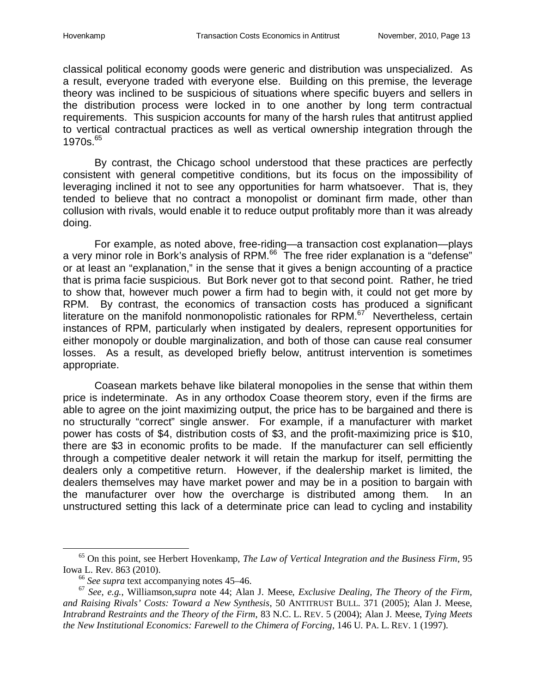classical political economy goods were generic and distribution was unspecialized. As a result, everyone traded with everyone else. Building on this premise, the leverage theory was inclined to be suspicious of situations where specific buyers and sellers in the distribution process were locked in to one another by long term contractual requirements. This suspicion accounts for many of the harsh rules that antitrust applied to vertical contractual practices as well as vertical ownership integration through the  $1970s.<sup>65</sup>$ 

By contrast, the Chicago school understood that these practices are perfectly consistent with general competitive conditions, but its focus on the impossibility of leveraging inclined it not to see any opportunities for harm whatsoever. That is, they tended to believe that no contract a monopolist or dominant firm made, other than collusion with rivals, would enable it to reduce output profitably more than it was already doing.

For example, as noted above, free-riding—a transaction cost explanation—plays a very minor role in Bork's analysis of RPM.<sup>66</sup> The free rider explanation is a "defense" or at least an "explanation," in the sense that it gives a benign accounting of a practice that is prima facie suspicious. But Bork never got to that second point. Rather, he tried to show that, however much power a firm had to begin with, it could not get more by RPM. By contrast, the economics of transaction costs has produced a significant literature on the manifold nonmonopolistic rationales for RPM.<sup>67</sup> Nevertheless, certain instances of RPM, particularly when instigated by dealers, represent opportunities for either monopoly or double marginalization, and both of those can cause real consumer losses. As a result, as developed briefly below, antitrust intervention is sometimes appropriate.

Coasean markets behave like bilateral monopolies in the sense that within them price is indeterminate. As in any orthodox Coase theorem story, even if the firms are able to agree on the joint maximizing output, the price has to be bargained and there is no structurally "correct" single answer. For example, if a manufacturer with market power has costs of \$4, distribution costs of \$3, and the profit-maximizing price is \$10, there are \$3 in economic profits to be made. If the manufacturer can sell efficiently through a competitive dealer network it will retain the markup for itself, permitting the dealers only a competitive return. However, if the dealership market is limited, the dealers themselves may have market power and may be in a position to bargain with the manufacturer over how the overcharge is distributed among them. In an unstructured setting this lack of a determinate price can lead to cycling and instability

l

<sup>65</sup> On this point, see Herbert Hovenkamp, *The Law of Vertical Integration and the Business Firm*, 95 Iowa L. Rev. 863 (2010).

<sup>66</sup> *See supra* text accompanying notes 45–46.

<sup>67</sup> *See, e.g.*, Williamson,*supra* note 44; Alan J. Meese, *Exclusive Dealing, The Theory of the Firm, and Raising Rivals' Costs: Toward a New Synthesis*, 50 ANTITRUST BULL. 371 (2005); Alan J. Meese, *Intrabrand Restraints and the Theory of the Firm*, 83 N.C. L. REV. 5 (2004); Alan J. Meese, *Tying Meets the New Institutional Economics: Farewell to the Chimera of Forcing*, 146 U. PA. L. REV. 1 (1997).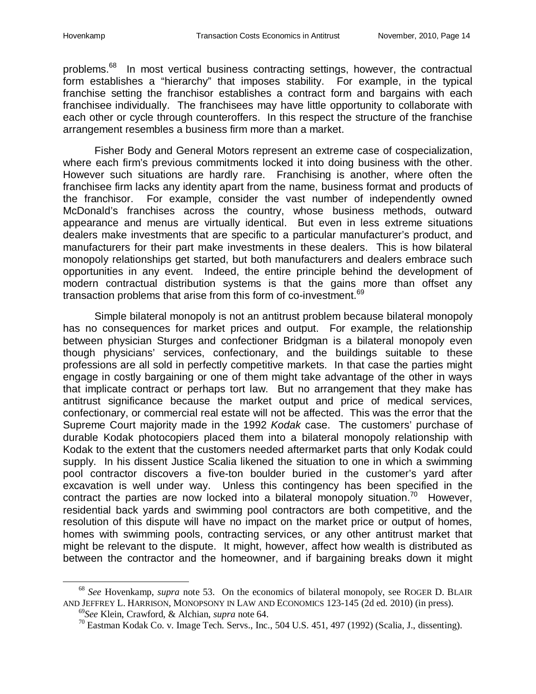problems.<sup>68</sup> In most vertical business contracting settings, however, the contractual form establishes a "hierarchy" that imposes stability. For example, in the typical franchise setting the franchisor establishes a contract form and bargains with each franchisee individually. The franchisees may have little opportunity to collaborate with each other or cycle through counteroffers. In this respect the structure of the franchise arrangement resembles a business firm more than a market.

Fisher Body and General Motors represent an extreme case of cospecialization, where each firm's previous commitments locked it into doing business with the other. However such situations are hardly rare. Franchising is another, where often the franchisee firm lacks any identity apart from the name, business format and products of the franchisor. For example, consider the vast number of independently owned McDonald's franchises across the country, whose business methods, outward appearance and menus are virtually identical. But even in less extreme situations dealers make investments that are specific to a particular manufacturer's product, and manufacturers for their part make investments in these dealers. This is how bilateral monopoly relationships get started, but both manufacturers and dealers embrace such opportunities in any event. Indeed, the entire principle behind the development of modern contractual distribution systems is that the gains more than offset any transaction problems that arise from this form of co-investment.<sup>69</sup>

Simple bilateral monopoly is not an antitrust problem because bilateral monopoly has no consequences for market prices and output. For example, the relationship between physician Sturges and confectioner Bridgman is a bilateral monopoly even though physicians' services, confectionary, and the buildings suitable to these professions are all sold in perfectly competitive markets. In that case the parties might engage in costly bargaining or one of them might take advantage of the other in ways that implicate contract or perhaps tort law. But no arrangement that they make has antitrust significance because the market output and price of medical services, confectionary, or commercial real estate will not be affected. This was the error that the Supreme Court majority made in the 1992 *Kodak* case. The customers' purchase of durable Kodak photocopiers placed them into a bilateral monopoly relationship with Kodak to the extent that the customers needed aftermarket parts that only Kodak could supply. In his dissent Justice Scalia likened the situation to one in which a swimming pool contractor discovers a five-ton boulder buried in the customer's yard after excavation is well under way. Unless this contingency has been specified in the contract the parties are now locked into a bilateral monopoly situation.<sup>70</sup> However, residential back yards and swimming pool contractors are both competitive, and the resolution of this dispute will have no impact on the market price or output of homes, homes with swimming pools, contracting services, or any other antitrust market that might be relevant to the dispute. It might, however, affect how wealth is distributed as between the contractor and the homeowner, and if bargaining breaks down it might

<sup>68</sup> *See* Hovenkamp, *supra* note 53. On the economics of bilateral monopoly, see ROGER D. BLAIR AND JEFFREY L. HARRISON, MONOPSONY IN LAW AND ECONOMICS 123-145 (2d ed. 2010) (in press).

<sup>69</sup>*See* Klein, Crawford, & Alchian, *supra* note 64.

<sup>70</sup> Eastman Kodak Co. v. Image Tech. Servs., Inc., 504 U.S. 451, 497 (1992) (Scalia, J., dissenting).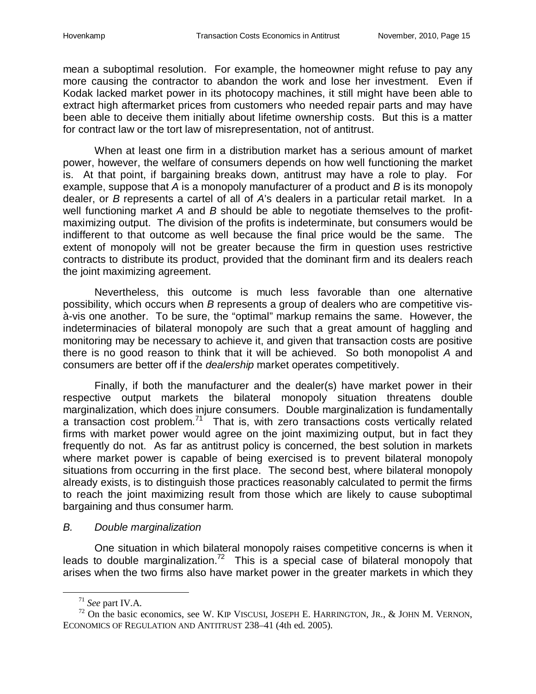mean a suboptimal resolution. For example, the homeowner might refuse to pay any more causing the contractor to abandon the work and lose her investment. Even if Kodak lacked market power in its photocopy machines, it still might have been able to extract high aftermarket prices from customers who needed repair parts and may have been able to deceive them initially about lifetime ownership costs. But this is a matter for contract law or the tort law of misrepresentation, not of antitrust.

When at least one firm in a distribution market has a serious amount of market power, however, the welfare of consumers depends on how well functioning the market is. At that point, if bargaining breaks down, antitrust may have a role to play. For example, suppose that *A* is a monopoly manufacturer of a product and *B* is its monopoly dealer, or *B* represents a cartel of all of *A*'s dealers in a particular retail market. In a well functioning market *A* and *B* should be able to negotiate themselves to the profitmaximizing output. The division of the profits is indeterminate, but consumers would be indifferent to that outcome as well because the final price would be the same. The extent of monopoly will not be greater because the firm in question uses restrictive contracts to distribute its product, provided that the dominant firm and its dealers reach the joint maximizing agreement.

Nevertheless, this outcome is much less favorable than one alternative possibility, which occurs when *B* represents a group of dealers who are competitive visà-vis one another. To be sure, the "optimal" markup remains the same. However, the indeterminacies of bilateral monopoly are such that a great amount of haggling and monitoring may be necessary to achieve it, and given that transaction costs are positive there is no good reason to think that it will be achieved. So both monopolist *A* and consumers are better off if the *dealership* market operates competitively.

Finally, if both the manufacturer and the dealer(s) have market power in their respective output markets the bilateral monopoly situation threatens double marginalization, which does injure consumers. Double marginalization is fundamentally a transaction cost problem.<sup>71</sup> That is, with zero transactions costs vertically related firms with market power would agree on the joint maximizing output, but in fact they frequently do not. As far as antitrust policy is concerned, the best solution in markets where market power is capable of being exercised is to prevent bilateral monopoly situations from occurring in the first place. The second best, where bilateral monopoly already exists, is to distinguish those practices reasonably calculated to permit the firms to reach the joint maximizing result from those which are likely to cause suboptimal bargaining and thus consumer harm.

# *B. Double marginalization*

One situation in which bilateral monopoly raises competitive concerns is when it leads to double marginalization.<sup>72</sup> This is a special case of bilateral monopoly that arises when the two firms also have market power in the greater markets in which they

<sup>71</sup> *See* part IV.A.

 $^{72}$  On the basic economics, see W. KIP VISCUSI, JOSEPH E. HARRINGTON, JR., & JOHN M. VERNON, ECONOMICS OF REGULATION AND ANTITRUST 238–41 (4th ed. 2005).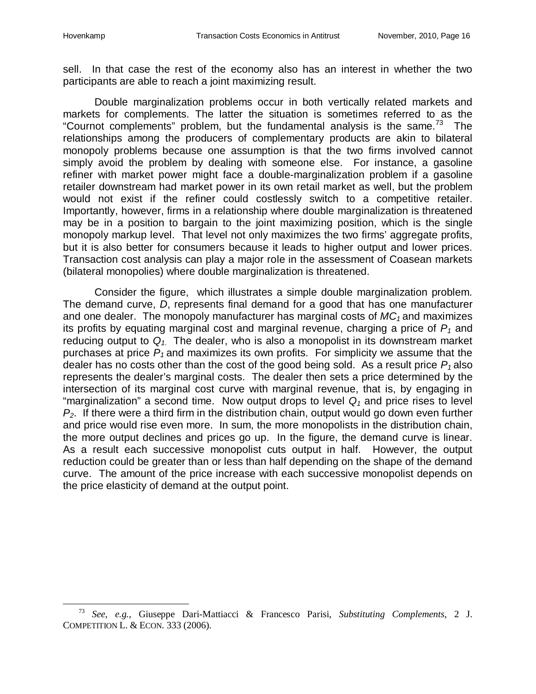sell. In that case the rest of the economy also has an interest in whether the two participants are able to reach a joint maximizing result.

Double marginalization problems occur in both vertically related markets and markets for complements. The latter the situation is sometimes referred to as the "Cournot complements" problem, but the fundamental analysis is the same. $^{73}$  The relationships among the producers of complementary products are akin to bilateral monopoly problems because one assumption is that the two firms involved cannot simply avoid the problem by dealing with someone else. For instance, a gasoline refiner with market power might face a double-marginalization problem if a gasoline retailer downstream had market power in its own retail market as well, but the problem would not exist if the refiner could costlessly switch to a competitive retailer. Importantly, however, firms in a relationship where double marginalization is threatened may be in a position to bargain to the joint maximizing position, which is the single monopoly markup level. That level not only maximizes the two firms' aggregate profits, but it is also better for consumers because it leads to higher output and lower prices. Transaction cost analysis can play a major role in the assessment of Coasean markets (bilateral monopolies) where double marginalization is threatened.

Consider the figure, which illustrates a simple double marginalization problem. The demand curve, *D*, represents final demand for a good that has one manufacturer and one dealer. The monopoly manufacturer has marginal costs of *MC<sup>1</sup>* and maximizes its profits by equating marginal cost and marginal revenue, charging a price of *P<sup>1</sup>* and reducing output to *Q<sup>1</sup>*. The dealer, who is also a monopolist in its downstream market purchases at price *P<sup>1</sup>* and maximizes its own profits. For simplicity we assume that the dealer has no costs other than the cost of the good being sold. As a result price *P<sup>1</sup>* also represents the dealer's marginal costs. The dealer then sets a price determined by the intersection of its marginal cost curve with marginal revenue, that is, by engaging in "marginalization" a second time. Now output drops to level  $Q_1$  and price rises to level *P2*. If there were a third firm in the distribution chain, output would go down even further and price would rise even more. In sum, the more monopolists in the distribution chain, the more output declines and prices go up. In the figure, the demand curve is linear. As a result each successive monopolist cuts output in half. However, the output reduction could be greater than or less than half depending on the shape of the demand curve. The amount of the price increase with each successive monopolist depends on the price elasticity of demand at the output point.

<sup>73</sup> *See, e.g.*, Giuseppe Dari-Mattiacci & Francesco Parisi, *Substituting Complements*, 2 J. COMPETITION L. & ECON. 333 (2006).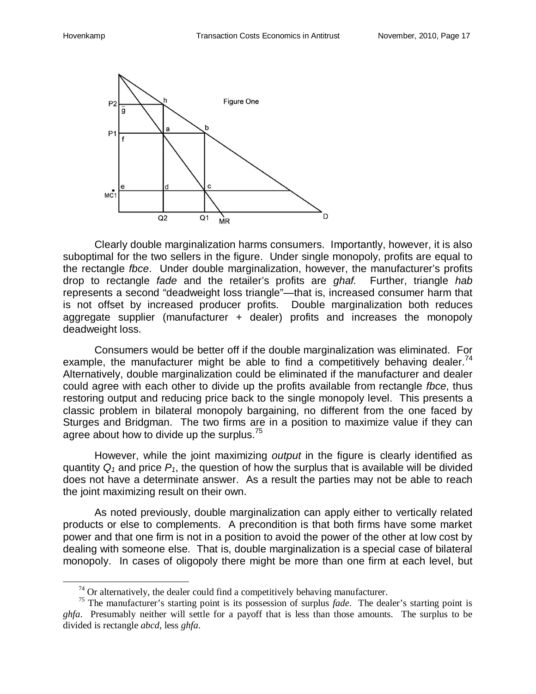

Clearly double marginalization harms consumers. Importantly, however, it is also suboptimal for the two sellers in the figure. Under single monopoly, profits are equal to the rectangle *fbce*. Under double marginalization, however, the manufacturer's profits drop to rectangle *fade* and the retailer's profits are *ghaf.* Further, triangle *hab* represents a second "deadweight loss triangle"—that is, increased consumer harm that is not offset by increased producer profits. Double marginalization both reduces aggregate supplier (manufacturer + dealer) profits and increases the monopoly deadweight loss.

Consumers would be better off if the double marginalization was eliminated. For example, the manufacturer might be able to find a competitively behaving dealer.<sup>74</sup> Alternatively, double marginalization could be eliminated if the manufacturer and dealer could agree with each other to divide up the profits available from rectangle *fbce*, thus restoring output and reducing price back to the single monopoly level. This presents a classic problem in bilateral monopoly bargaining, no different from the one faced by Sturges and Bridgman. The two firms are in a position to maximize value if they can agree about how to divide up the surplus.<sup>75</sup>

However, while the joint maximizing *output* in the figure is clearly identified as quantity  $Q_1$  and price  $P_1$ , the question of how the surplus that is available will be divided does not have a determinate answer. As a result the parties may not be able to reach the joint maximizing result on their own.

As noted previously, double marginalization can apply either to vertically related products or else to complements. A precondition is that both firms have some market power and that one firm is not in a position to avoid the power of the other at low cost by dealing with someone else. That is, double marginalization is a special case of bilateral monopoly. In cases of oligopoly there might be more than one firm at each level, but

 $74$  Or alternatively, the dealer could find a competitively behaving manufacturer.

<sup>75</sup> The manufacturer's starting point is its possession of surplus *fade*. The dealer's starting point is *ghfa*. Presumably neither will settle for a payoff that is less than those amounts. The surplus to be divided is rectangle *abcd*, less *ghfa*.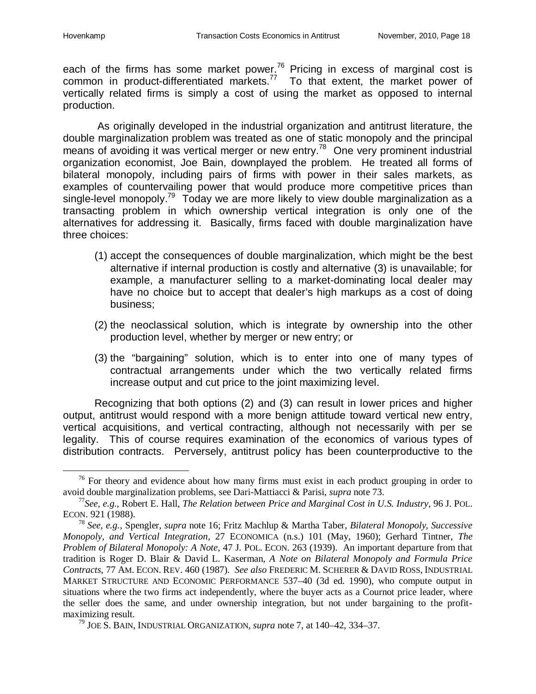each of the firms has some market power.<sup>76</sup> Pricing in excess of marginal cost is common in product-differentiated markets. $77$  To that extent, the market power of vertically related firms is simply a cost of using the market as opposed to internal production.

As originally developed in the industrial organization and antitrust literature, the double marginalization problem was treated as one of static monopoly and the principal means of avoiding it was vertical merger or new entry.<sup>78</sup> One very prominent industrial organization economist, Joe Bain, downplayed the problem. He treated all forms of bilateral monopoly, including pairs of firms with power in their sales markets, as examples of countervailing power that would produce more competitive prices than single-level monopoly.<sup>79</sup> Today we are more likely to view double marginalization as a transacting problem in which ownership vertical integration is only one of the alternatives for addressing it. Basically, firms faced with double marginalization have three choices:

- (1) accept the consequences of double marginalization, which might be the best alternative if internal production is costly and alternative (3) is unavailable; for example, a manufacturer selling to a market-dominating local dealer may have no choice but to accept that dealer's high markups as a cost of doing business;
- (2) the neoclassical solution, which is integrate by ownership into the other production level, whether by merger or new entry; or
- (3) the "bargaining" solution, which is to enter into one of many types of contractual arrangements under which the two vertically related firms increase output and cut price to the joint maximizing level.

Recognizing that both options (2) and (3) can result in lower prices and higher output, antitrust would respond with a more benign attitude toward vertical new entry, vertical acquisitions, and vertical contracting, although not necessarily with per se legality. This of course requires examination of the economics of various types of distribution contracts. Perversely, antitrust policy has been counterproductive to the

 $76$  For theory and evidence about how many firms must exist in each product grouping in order to avoid double marginalization problems, see Dari-Mattiacci & Parisi, *supra* note 73.

<sup>77</sup>*See, e.g.*, Robert E. Hall, *The Relation between Price and Marginal Cost in U.S. Industry*, 96 J. POL. ECON. 921 (1988).

<sup>78</sup> *See, e.g.*, Spengler, *supra* note 16; Fritz Machlup & Martha Taber, *Bilateral Monopoly, Successive Monopoly, and Vertical Integration*, 27 ECONOMICA (n.s.) 101 (May, 1960); Gerhard Tintner, *The Problem of Bilateral Monopoly: A Note*, 47 J. POL. ECON. 263 (1939). An important departure from that tradition is Roger D. Blair & David L. Kaserman, *A Note on Bilateral Monopoly and Formula Price Contracts*, 77 AM. ECON. REV. 460 (1987). *See also* FREDERIC M. SCHERER & DAVID ROSS, INDUSTRIAL MARKET STRUCTURE AND ECONOMIC PERFORMANCE 537–40 (3d ed. 1990), who compute output in situations where the two firms act independently, where the buyer acts as a Cournot price leader, where the seller does the same, and under ownership integration, but not under bargaining to the profitmaximizing result.

<sup>79</sup> JOE S. BAIN, INDUSTRIAL ORGANIZATION, *supra* note 7, at 140–42, 334–37.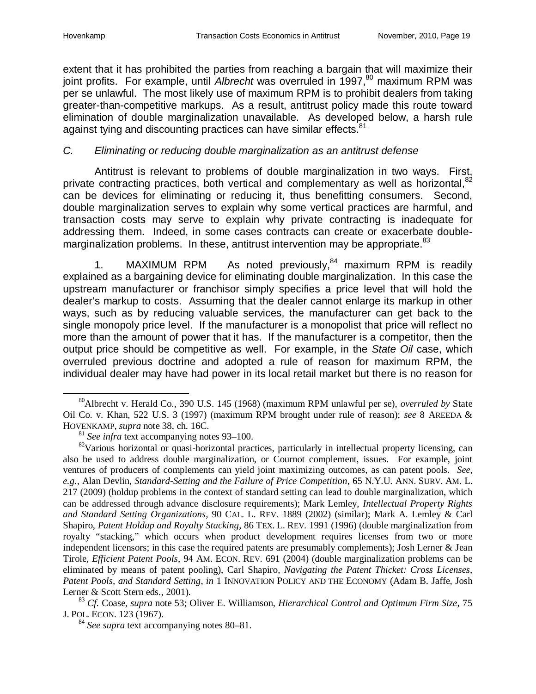extent that it has prohibited the parties from reaching a bargain that will maximize their joint profits. For example, until *Albrecht* was overruled in 1997,<sup>80</sup> maximum RPM was per se unlawful. The most likely use of maximum RPM is to prohibit dealers from taking greater-than-competitive markups. As a result, antitrust policy made this route toward elimination of double marginalization unavailable. As developed below, a harsh rule against tying and discounting practices can have similar effects.<sup>81</sup>

#### *C. Eliminating or reducing double marginalization as an antitrust defense*

Antitrust is relevant to problems of double marginalization in two ways. First, private contracting practices, both vertical and complementary as well as horizontal,<sup>82</sup> can be devices for eliminating or reducing it, thus benefitting consumers. Second, double marginalization serves to explain why some vertical practices are harmful, and transaction costs may serve to explain why private contracting is inadequate for addressing them. Indeed, in some cases contracts can create or exacerbate doublemarginalization problems. In these, antitrust intervention may be appropriate.<sup>83</sup>

1. MAXIMUM RPM As noted previously,<sup>84</sup> maximum RPM is readily explained as a bargaining device for eliminating double marginalization. In this case the upstream manufacturer or franchisor simply specifies a price level that will hold the dealer's markup to costs. Assuming that the dealer cannot enlarge its markup in other ways, such as by reducing valuable services, the manufacturer can get back to the single monopoly price level. If the manufacturer is a monopolist that price will reflect no more than the amount of power that it has. If the manufacturer is a competitor, then the output price should be competitive as well. For example, in the *State Oil* case, which overruled previous doctrine and adopted a rule of reason for maximum RPM, the individual dealer may have had power in its local retail market but there is no reason for

 $\overline{a}$ <sup>80</sup>Albrecht v. Herald Co., 390 U.S. 145 (1968) (maximum RPM unlawful per se), *overruled by* State Oil Co. v. Khan, 522 U.S. 3 (1997) (maximum RPM brought under rule of reason); *see* 8 AREEDA & HOVENKAMP, *supra* note 38, ch. 16C.

<sup>81</sup> *See infra* text accompanying notes 93–100.

 $82$ Various horizontal or quasi-horizontal practices, particularly in intellectual property licensing, can also be used to address double marginalization, or Cournot complement, issues. For example, joint ventures of producers of complements can yield joint maximizing outcomes, as can patent pools. *See, e.g.*, Alan Devlin, *Standard-Setting and the Failure of Price Competition*, 65 N.Y.U. ANN. SURV. AM. L. 217 (2009) (holdup problems in the context of standard setting can lead to double marginalization, which can be addressed through advance disclosure requirements); Mark Lemley, *Intellectual Property Rights and Standard Setting Organizations*, 90 CAL. L. REV. 1889 (2002) (similar); Mark A. Lemley & Carl Shapiro, *Patent Holdup and Royalty Stacking*, 86 TEX. L. REV. 1991 (1996) (double marginalization from royalty "stacking," which occurs when product development requires licenses from two or more independent licensors; in this case the required patents are presumably complements); Josh Lerner & Jean Tirole, *Efficient Patent Pools*, 94 AM. ECON. REV. 691 (2004) (double marginalization problems can be eliminated by means of patent pooling), Carl Shapiro, *Navigating the Patent Thicket: Cross Licenses, Patent Pools, and Standard Setting*, *in* 1 INNOVATION POLICY AND THE ECONOMY (Adam B. Jaffe, Josh Lerner & Scott Stern eds., 2001).

<sup>83</sup> *Cf.* Coase, *supra* note 53; Oliver E. Williamson, *Hierarchical Control and Optimum Firm Size*, 75 J. POL. ECON. 123 (1967).

<sup>84</sup> *See supra* text accompanying notes 80–81.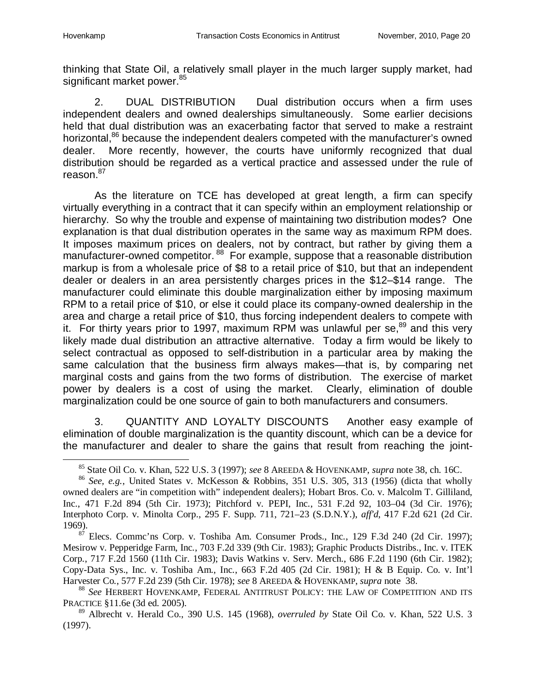thinking that State Oil, a relatively small player in the much larger supply market, had significant market power.<sup>85</sup>

2. DUAL DISTRIBUTION Dual distribution occurs when a firm uses independent dealers and owned dealerships simultaneously. Some earlier decisions held that dual distribution was an exacerbating factor that served to make a restraint horizontal,<sup>86</sup> because the independent dealers competed with the manufacturer's owned dealer. More recently, however, the courts have uniformly recognized that dual distribution should be regarded as a vertical practice and assessed under the rule of reason.<sup>87</sup>

As the literature on TCE has developed at great length, a firm can specify virtually everything in a contract that it can specify within an employment relationship or hierarchy. So why the trouble and expense of maintaining two distribution modes? One explanation is that dual distribution operates in the same way as maximum RPM does. It imposes maximum prices on dealers, not by contract, but rather by giving them a manufacturer-owned competitor. <sup>88</sup> For example, suppose that a reasonable distribution markup is from a wholesale price of \$8 to a retail price of \$10, but that an independent dealer or dealers in an area persistently charges prices in the \$12–\$14 range. The manufacturer could eliminate this double marginalization either by imposing maximum RPM to a retail price of \$10, or else it could place its company-owned dealership in the area and charge a retail price of \$10, thus forcing independent dealers to compete with it. For thirty years prior to 1997, maximum RPM was unlawful per se, $^{89}$  and this very likely made dual distribution an attractive alternative. Today a firm would be likely to select contractual as opposed to self-distribution in a particular area by making the same calculation that the business firm always makes—that is, by comparing net marginal costs and gains from the two forms of distribution. The exercise of market power by dealers is a cost of using the market. Clearly, elimination of double marginalization could be one source of gain to both manufacturers and consumers.

3. QUANTITY AND LOYALTY DISCOUNTS Another easy example of elimination of double marginalization is the quantity discount, which can be a device for the manufacturer and dealer to share the gains that result from reaching the joint-

<sup>85</sup> State Oil Co. v. Khan, 522 U.S. 3 (1997); *see* 8 AREEDA & HOVENKAMP, *supra* note 38, ch. 16C.

<sup>86</sup> *See, e.g.*, United States v. McKesson & Robbins, 351 U.S. 305, 313 (1956) (dicta that wholly owned dealers are "in competition with" independent dealers); Hobart Bros. Co. v. Malcolm T. Gilliland, Inc., 471 F.2d 894 (5th Cir. 1973); Pitchford v. PEPI, Inc*.*, 531 F.2d 92, 103–04 (3d Cir. 1976); Interphoto Corp. v. Minolta Corp., 295 F. Supp. 711, 721–23 (S.D.N.Y.), *aff'd*, 417 F.2d 621 (2d Cir. 1969).

<sup>87</sup> Elecs. Commc'ns Corp. v. Toshiba Am. Consumer Prods., Inc*.*, 129 F.3d 240 (2d Cir. 1997); Mesirow v. Pepperidge Farm, Inc*.*, 703 F.2d 339 (9th Cir. 1983); Graphic Products Distribs., Inc. v. ITEK Corp*.*, 717 F.2d 1560 (11th Cir. 1983); Davis Watkins v. Serv. Merch., 686 F.2d 1190 (6th Cir. 1982); Copy-Data Sys., Inc. v. Toshiba Am., Inc*.*, 663 F.2d 405 (2d Cir. 1981); H & B Equip. Co. v. Int'l Harvester Co*.*, 577 F.2d 239 (5th Cir. 1978); *see* 8 AREEDA & HOVENKAMP, *supra* note 38.

<sup>88</sup> *See* HERBERT HOVENKAMP, FEDERAL ANTITRUST POLICY: THE LAW OF COMPETITION AND ITS PRACTICE §11.6e (3d ed. 2005).

<sup>89</sup> Albrecht v. Herald Co., 390 U.S. 145 (1968), *overruled by* State Oil Co. v. Khan, 522 U.S. 3 (1997).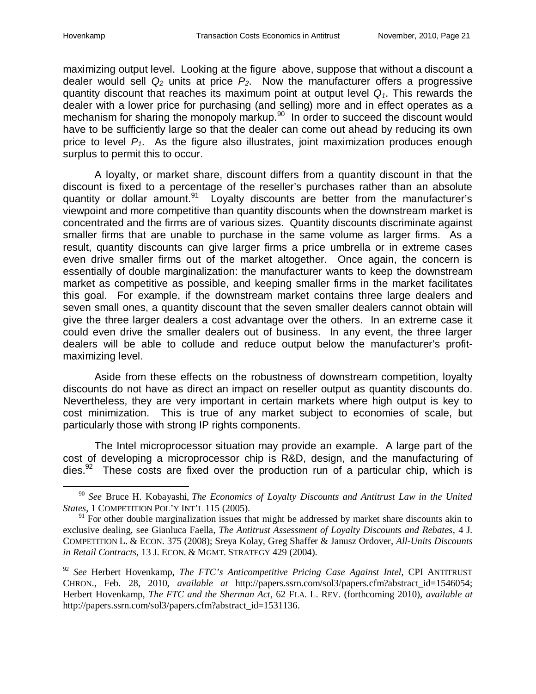maximizing output level. Looking at the figure above, suppose that without a discount a dealer would sell *Q<sup>2</sup>* units at price *P2*. Now the manufacturer offers a progressive quantity discount that reaches its maximum point at output level *Q1*. This rewards the dealer with a lower price for purchasing (and selling) more and in effect operates as a mechanism for sharing the monopoly markup.<sup>90</sup> In order to succeed the discount would have to be sufficiently large so that the dealer can come out ahead by reducing its own price to level *P1*. As the figure also illustrates, joint maximization produces enough surplus to permit this to occur.

A loyalty, or market share, discount differs from a quantity discount in that the discount is fixed to a percentage of the reseller's purchases rather than an absolute quantity or dollar amount.<sup>91</sup> Loyalty discounts are better from the manufacturer's viewpoint and more competitive than quantity discounts when the downstream market is concentrated and the firms are of various sizes. Quantity discounts discriminate against smaller firms that are unable to purchase in the same volume as larger firms. As a result, quantity discounts can give larger firms a price umbrella or in extreme cases even drive smaller firms out of the market altogether. Once again, the concern is essentially of double marginalization: the manufacturer wants to keep the downstream market as competitive as possible, and keeping smaller firms in the market facilitates this goal. For example, if the downstream market contains three large dealers and seven small ones, a quantity discount that the seven smaller dealers cannot obtain will give the three larger dealers a cost advantage over the others. In an extreme case it could even drive the smaller dealers out of business. In any event, the three larger dealers will be able to collude and reduce output below the manufacturer's profitmaximizing level.

Aside from these effects on the robustness of downstream competition, loyalty discounts do not have as direct an impact on reseller output as quantity discounts do. Nevertheless, they are very important in certain markets where high output is key to cost minimization. This is true of any market subject to economies of scale, but particularly those with strong IP rights components.

The Intel microprocessor situation may provide an example. A large part of the cost of developing a microprocessor chip is R&D, design, and the manufacturing of dies.<sup>92</sup> These costs are fixed over the production run of a particular chip, which is

<sup>90</sup> *See* Bruce H. Kobayashi, *The Economics of Loyalty Discounts and Antitrust Law in the United States*, 1 COMPETITION POL'Y INT'L 115 (2005).

 $91$  For other double marginalization issues that might be addressed by market share discounts akin to exclusive dealing, see Gianluca Faella, *The Antitrust Assessment of Loyalty Discounts and Rebates*, 4 J. COMPETITION L. & ECON. 375 (2008); Sreya Kolay, Greg Shaffer & Janusz Ordover, *All-Units Discounts in Retail Contracts*, 13 J. ECON. & MGMT. STRATEGY 429 (2004).

<sup>92</sup> *See* Herbert Hovenkamp, *The FTC's Anticompetitive Pricing Case Against Intel*, CPI ANTITRUST CHRON., Feb. 28, 2010, *available at* http://papers.ssrn.com/sol3/papers.cfm?abstract\_id=1546054; Herbert Hovenkamp, *The FTC and the Sherman Act*, 62 FLA. L. REV. (forthcoming 2010), *available at* http://papers.ssrn.com/sol3/papers.cfm?abstract\_id=1531136.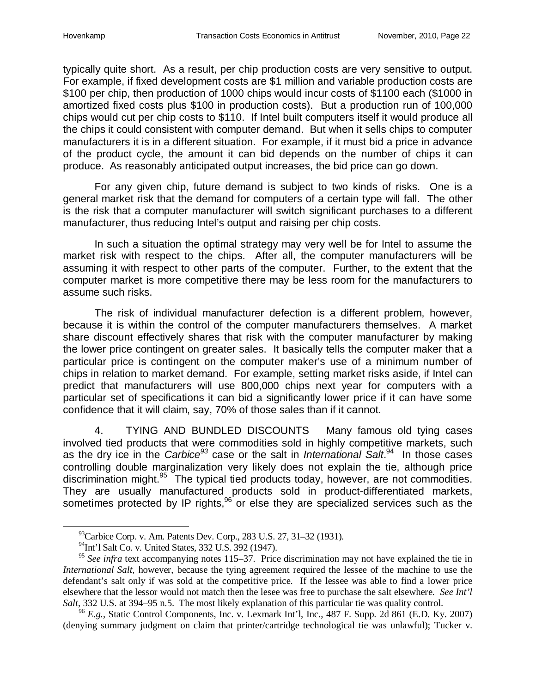typically quite short. As a result, per chip production costs are very sensitive to output. For example, if fixed development costs are \$1 million and variable production costs are \$100 per chip, then production of 1000 chips would incur costs of \$1100 each (\$1000 in amortized fixed costs plus \$100 in production costs). But a production run of 100,000 chips would cut per chip costs to \$110. If Intel built computers itself it would produce all the chips it could consistent with computer demand. But when it sells chips to computer manufacturers it is in a different situation. For example, if it must bid a price in advance of the product cycle, the amount it can bid depends on the number of chips it can produce. As reasonably anticipated output increases, the bid price can go down.

For any given chip, future demand is subject to two kinds of risks. One is a general market risk that the demand for computers of a certain type will fall. The other is the risk that a computer manufacturer will switch significant purchases to a different manufacturer, thus reducing Intel's output and raising per chip costs.

In such a situation the optimal strategy may very well be for Intel to assume the market risk with respect to the chips. After all, the computer manufacturers will be assuming it with respect to other parts of the computer. Further, to the extent that the computer market is more competitive there may be less room for the manufacturers to assume such risks.

The risk of individual manufacturer defection is a different problem, however, because it is within the control of the computer manufacturers themselves. A market share discount effectively shares that risk with the computer manufacturer by making the lower price contingent on greater sales. It basically tells the computer maker that a particular price is contingent on the computer maker's use of a minimum number of chips in relation to market demand. For example, setting market risks aside, if Intel can predict that manufacturers will use 800,000 chips next year for computers with a particular set of specifications it can bid a significantly lower price if it can have some confidence that it will claim, say, 70% of those sales than if it cannot.

4. TYING AND BUNDLED DISCOUNTS Many famous old tying cases involved tied products that were commodities sold in highly competitive markets, such as the dry ice in the *Carbice<sup>93</sup>* case or the salt in *International Salt*. 94 In those cases controlling double marginalization very likely does not explain the tie, although price discrimination might.<sup>95</sup> The typical tied products today, however, are not commodities. They are usually manufactured products sold in product-differentiated markets, sometimes protected by IP rights,<sup>96</sup> or else they are specialized services such as the

 $^{93}$ Carbice Corp. v. Am. Patents Dev. Corp., 283 U.S. 27, 31–32 (1931).

<sup>&</sup>lt;sup>94</sup>Int'l Salt Co. v. United States, 332 U.S. 392 (1947).

<sup>95</sup> *See infra* text accompanying notes 115–37. Price discrimination may not have explained the tie in *International Salt*, however, because the tying agreement required the lessee of the machine to use the defendant's salt only if was sold at the competitive price. If the lessee was able to find a lower price elsewhere that the lessor would not match then the lesee was free to purchase the salt elsewhere. *See Int'l Salt*, 332 U.S. at 394–95 n.5. The most likely explanation of this particular tie was quality control.

<sup>96</sup> *E.g.*, Static Control Components, Inc. v. Lexmark Int'l, Inc., 487 F. Supp. 2d 861 (E.D. Ky. 2007) (denying summary judgment on claim that printer/cartridge technological tie was unlawful); Tucker v.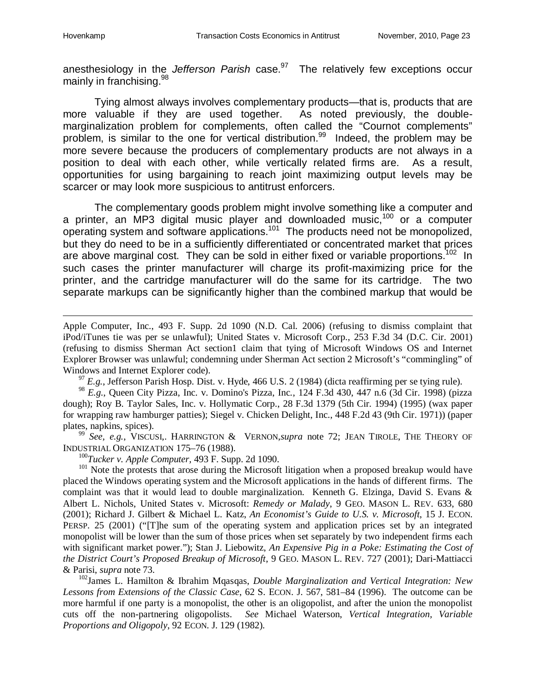anesthesiology in the *Jefferson Parish* case.<sup>97</sup> The relatively few exceptions occur mainly in franchising.<sup>98</sup>

Tying almost always involves complementary products—that is, products that are more valuable if they are used together. As noted previously, the doublemarginalization problem for complements, often called the "Cournot complements" problem, is similar to the one for vertical distribution.<sup>99</sup> Indeed, the problem may be more severe because the producers of complementary products are not always in a position to deal with each other, while vertically related firms are. As a result, opportunities for using bargaining to reach joint maximizing output levels may be scarcer or may look more suspicious to antitrust enforcers.

The complementary goods problem might involve something like a computer and a printer, an MP3 digital music player and downloaded music,<sup>100</sup> or a computer operating system and software applications.<sup>101</sup> The products need not be monopolized, but they do need to be in a sufficiently differentiated or concentrated market that prices are above marginal cost. They can be sold in either fixed or variable proportions.<sup>102</sup> In such cases the printer manufacturer will charge its profit-maximizing price for the printer, and the cartridge manufacturer will do the same for its cartridge. The two separate markups can be significantly higher than the combined markup that would be

 $\overline{a}$ Apple Computer, Inc., 493 F. Supp. 2d 1090 (N.D. Cal. 2006) (refusing to dismiss complaint that iPod/iTunes tie was per se unlawful); United States v. Microsoft Corp., 253 F.3d 34 (D.C. Cir. 2001) (refusing to dismiss Sherman Act section1 claim that tying of Microsoft Windows OS and Internet Explorer Browser was unlawful; condemning under Sherman Act section 2 Microsoft's "commingling" of Windows and Internet Explorer code).

 $^{97}$  *E.g.*, Jefferson Parish Hosp. Dist. v. Hyde, 466 U.S. 2 (1984) (dicta reaffirming per se tying rule).

<sup>98</sup> *E.g.*, Queen City Pizza, Inc. v. Domino's Pizza, Inc*.*, 124 F.3d 430, 447 n.6 (3d Cir. 1998) (pizza dough); Roy B. Taylor Sales, Inc. v. Hollymatic Corp., 28 F.3d 1379 (5th Cir. 1994) (1995) (wax paper for wrapping raw hamburger patties); Siegel v. Chicken Delight, Inc., 448 F.2d 43 (9th Cir. 1971)) (paper plates, napkins, spices).

<sup>99</sup> *See, e.g.*, VISCUSI,. HARRINGTON & VERNON,*supra* note 72; JEAN TIROLE, THE THEORY OF INDUSTRIAL ORGANIZATION 175–76 (1988).

<sup>100</sup>*Tucker v. Apple Computer,* 493 F. Supp. 2d 1090.

 $101$  Note the protests that arose during the Microsoft litigation when a proposed breakup would have placed the Windows operating system and the Microsoft applications in the hands of different firms. The complaint was that it would lead to double marginalization. Kenneth G. Elzinga, David S. Evans & Albert L. Nichols, United States v. Microsoft: *Remedy or Malady*, 9 GEO. MASON L. REV. 633, 680 (2001); Richard J. Gilbert & Michael L. Katz, *An Economist's Guide to U.S. v. Microsoft*, 15 J. ECON. PERSP. 25 (2001) ("[T]he sum of the operating system and application prices set by an integrated monopolist will be lower than the sum of those prices when set separately by two independent firms each with significant market power."); Stan J. Liebowitz, *An Expensive Pig in a Poke: Estimating the Cost of the District Court's Proposed Breakup of Microsoft*, 9 GEO. MASON L. REV. 727 (2001); Dari-Mattiacci & Parisi, *supra* note 73.

<sup>102</sup>James L. Hamilton & Ibrahim Mqasqas, *Double Marginalization and Vertical Integration: New Lessons from Extensions of the Classic Case*, 62 S. ECON. J. 567, 581–84 (1996). The outcome can be more harmful if one party is a monopolist, the other is an oligopolist, and after the union the monopolist cuts off the non-partnering oligopolists. *See* Michael Waterson, *Vertical Integration, Variable Proportions and Oligopoly*, 92 ECON. J. 129 (1982).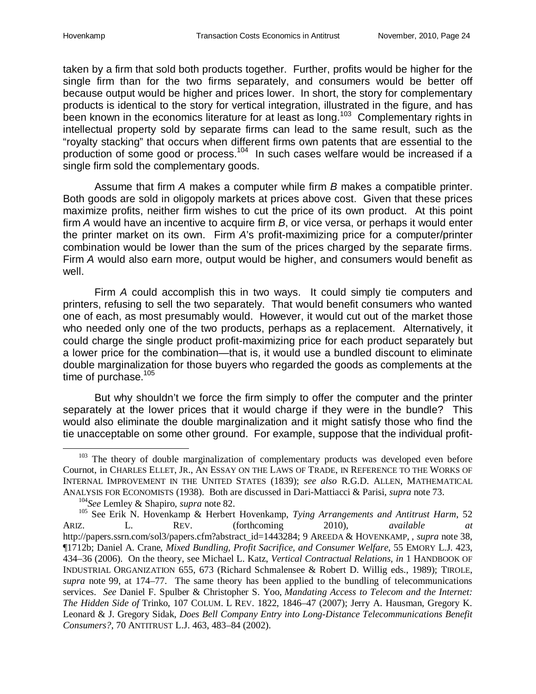l

taken by a firm that sold both products together. Further, profits would be higher for the single firm than for the two firms separately, and consumers would be better off because output would be higher and prices lower. In short, the story for complementary products is identical to the story for vertical integration, illustrated in the figure, and has been known in the economics literature for at least as long.<sup>103</sup> Complementary rights in intellectual property sold by separate firms can lead to the same result, such as the "royalty stacking" that occurs when different firms own patents that are essential to the production of some good or process.<sup>104</sup> In such cases welfare would be increased if a single firm sold the complementary goods.

Assume that firm *A* makes a computer while firm *B* makes a compatible printer. Both goods are sold in oligopoly markets at prices above cost. Given that these prices maximize profits, neither firm wishes to cut the price of its own product. At this point firm *A* would have an incentive to acquire firm *B*, or vice versa, or perhaps it would enter the printer market on its own. Firm *A*'s profit-maximizing price for a computer/printer combination would be lower than the sum of the prices charged by the separate firms. Firm *A* would also earn more, output would be higher, and consumers would benefit as well.

Firm *A* could accomplish this in two ways. It could simply tie computers and printers, refusing to sell the two separately. That would benefit consumers who wanted one of each, as most presumably would. However, it would cut out of the market those who needed only one of the two products, perhaps as a replacement. Alternatively, it could charge the single product profit-maximizing price for each product separately but a lower price for the combination—that is, it would use a bundled discount to eliminate double marginalization for those buyers who regarded the goods as complements at the time of purchase. $105$ 

But why shouldn't we force the firm simply to offer the computer and the printer separately at the lower prices that it would charge if they were in the bundle? This would also eliminate the double marginalization and it might satisfy those who find the tie unacceptable on some other ground. For example, suppose that the individual profit-

 $103$  The theory of double marginalization of complementary products was developed even before Cournot, in CHARLES ELLET, JR., AN ESSAY ON THE LAWS OF TRADE, IN REFERENCE TO THE WORKS OF INTERNAL IMPROVEMENT IN THE UNITED STATES (1839); *see also* R.G.D. ALLEN, MATHEMATICAL ANALYSIS FOR ECONOMISTS (1938). Both are discussed in Dari-Mattiacci & Parisi, *supra* note 73.

<sup>104</sup>*See* Lemley & Shapiro, *supra* note 82.

<sup>&</sup>lt;sup>105</sup> See Erik N. Hovenkamp & Herbert Hovenkamp, *Tying Arrangements and Antitrust Harm*, 52 ARIZ. L. REV. (forthcoming 2010), *available at* http://papers.ssrn.com/sol3/papers.cfm?abstract\_id=1443284; 9 AREEDA & HOVENKAMP, , *supra* note 38, ¶1712b; Daniel A. Crane, *Mixed Bundling, Profit Sacrifice, and Consumer Welfare*, 55 EMORY L.J. 423, 434–36 (2006). On the theory, see Michael L. Katz, *Vertical Contractual Relations, in* 1 HANDBOOK OF INDUSTRIAL ORGANIZATION 655, 673 (Richard Schmalensee & Robert D. Willig eds., 1989); TIROLE, *supra* note 99, at 174–77. The same theory has been applied to the bundling of telecommunications services. *See* Daniel F. Spulber & Christopher S. Yoo, *Mandating Access to Telecom and the Internet: The Hidden Side of* Trinko, 107 COLUM. L REV. 1822, 1846–47 (2007); Jerry A. Hausman, Gregory K. Leonard & J. Gregory Sidak, *Does Bell Company Entry into Long-Distance Telecommunications Benefit Consumers?*, 70 ANTITRUST L.J. 463, 483–84 (2002).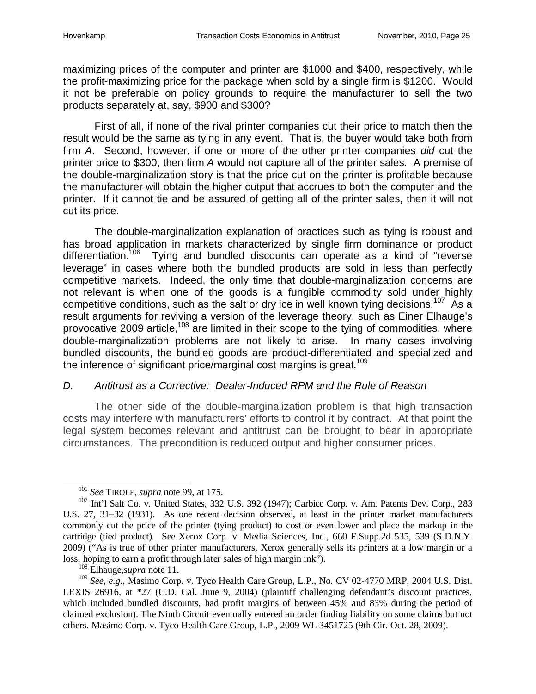maximizing prices of the computer and printer are \$1000 and \$400, respectively, while the profit-maximizing price for the package when sold by a single firm is \$1200. Would it not be preferable on policy grounds to require the manufacturer to sell the two products separately at, say, \$900 and \$300?

First of all, if none of the rival printer companies cut their price to match then the result would be the same as tying in any event. That is, the buyer would take both from firm *A*. Second, however, if one or more of the other printer companies *did* cut the printer price to \$300, then firm *A* would not capture all of the printer sales. A premise of the double-marginalization story is that the price cut on the printer is profitable because the manufacturer will obtain the higher output that accrues to both the computer and the printer. If it cannot tie and be assured of getting all of the printer sales, then it will not cut its price.

The double-marginalization explanation of practices such as tying is robust and has broad application in markets characterized by single firm dominance or product differentiation.<sup>106</sup> Tying and bundled discounts can operate as a kind of "reverse leverage" in cases where both the bundled products are sold in less than perfectly competitive markets. Indeed, the only time that double-marginalization concerns are not relevant is when one of the goods is a fungible commodity sold under highly competitive conditions, such as the salt or dry ice in well known tying decisions.<sup>107</sup> As a result arguments for reviving a version of the leverage theory, such as Einer Elhauge's provocative 2009 article,<sup>108</sup> are limited in their scope to the tying of commodities, where double-marginalization problems are not likely to arise. In many cases involving bundled discounts, the bundled goods are product-differentiated and specialized and the inference of significant price/marginal cost margins is great.<sup>109</sup>

#### *D. Antitrust as a Corrective: Dealer-Induced RPM and the Rule of Reason*

The other side of the double-marginalization problem is that high transaction costs may interfere with manufacturers' efforts to control it by contract. At that point the legal system becomes relevant and antitrust can be brought to bear in appropriate circumstances. The precondition is reduced output and higher consumer prices.

<sup>106</sup> *See* TIROLE, *supra* note 99, at 175.

<sup>&</sup>lt;sup>107</sup> Int'l Salt Co. v. United States, 332 U.S. 392 (1947); Carbice Corp. v. Am. Patents Dev. Corp., 283 U.S. 27, 31–32 (1931). As one recent decision observed, at least in the printer market manufacturers commonly cut the price of the printer (tying product) to cost or even lower and place the markup in the cartridge (tied product). See Xerox Corp. v. Media Sciences, Inc., 660 F.Supp.2d 535, 539 (S.D.N.Y. 2009) ("As is true of other printer manufacturers, Xerox generally sells its printers at a low margin or a loss, hoping to earn a profit through later sales of high margin ink").

<sup>108</sup> Elhauge,*supra* note 11.

<sup>&</sup>lt;sup>109</sup> See, e.g., Masimo Corp. v. Tyco Health Care Group, L.P., No. CV 02-4770 MRP, 2004 U.S. Dist. LEXIS 26916, at \*27 (C.D. Cal. June 9, 2004) (plaintiff challenging defendant's discount practices, which included bundled discounts, had profit margins of between 45% and 83% during the period of claimed exclusion). The Ninth Circuit eventually entered an order finding liability on some claims but not others. Masimo Corp. v. Tyco Health Care Group, L.P., 2009 WL 3451725 (9th Cir. Oct. 28, 2009).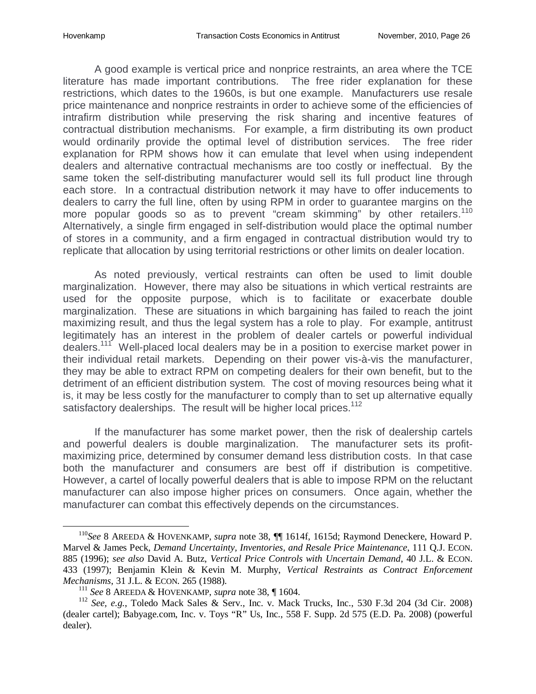A good example is vertical price and nonprice restraints, an area where the TCE literature has made important contributions. The free rider explanation for these restrictions, which dates to the 1960s, is but one example. Manufacturers use resale price maintenance and nonprice restraints in order to achieve some of the efficiencies of intrafirm distribution while preserving the risk sharing and incentive features of contractual distribution mechanisms. For example, a firm distributing its own product would ordinarily provide the optimal level of distribution services. The free rider explanation for RPM shows how it can emulate that level when using independent dealers and alternative contractual mechanisms are too costly or ineffectual. By the same token the self-distributing manufacturer would sell its full product line through each store. In a contractual distribution network it may have to offer inducements to dealers to carry the full line, often by using RPM in order to guarantee margins on the more popular goods so as to prevent "cream skimming" by other retailers.<sup>110</sup> Alternatively, a single firm engaged in self-distribution would place the optimal number of stores in a community, and a firm engaged in contractual distribution would try to replicate that allocation by using territorial restrictions or other limits on dealer location.

As noted previously, vertical restraints can often be used to limit double marginalization. However, there may also be situations in which vertical restraints are used for the opposite purpose, which is to facilitate or exacerbate double marginalization. These are situations in which bargaining has failed to reach the joint maximizing result, and thus the legal system has a role to play. For example, antitrust legitimately has an interest in the problem of dealer cartels or powerful individual dealers.<sup>111</sup> Well-placed local dealers may be in a position to exercise market power in their individual retail markets. Depending on their power vis-à-vis the manufacturer, they may be able to extract RPM on competing dealers for their own benefit, but to the detriment of an efficient distribution system. The cost of moving resources being what it is, it may be less costly for the manufacturer to comply than to set up alternative equally satisfactory dealerships. The result will be higher local prices.<sup>112</sup>

If the manufacturer has some market power, then the risk of dealership cartels and powerful dealers is double marginalization. The manufacturer sets its profitmaximizing price, determined by consumer demand less distribution costs. In that case both the manufacturer and consumers are best off if distribution is competitive. However, a cartel of locally powerful dealers that is able to impose RPM on the reluctant manufacturer can also impose higher prices on consumers. Once again, whether the manufacturer can combat this effectively depends on the circumstances.

<sup>110</sup>*See* 8 AREEDA & HOVENKAMP, *supra* note 38, ¶¶ 1614f, 1615d; Raymond Deneckere, Howard P. Marvel & James Peck, *Demand Uncertainty, Inventories, and Resale Price Maintenance*, 111 Q.J. ECON. 885 (1996); *see also* David A. Butz, *Vertical Price Controls with Uncertain Demand*, 40 J.L. & ECON. 433 (1997); Benjamin Klein & Kevin M. Murphy, *Vertical Restraints as Contract Enforcement Mechanisms*, 31 J.L. & ECON. 265 (1988).

<sup>111</sup> *See* 8 AREEDA & HOVENKAMP, *supra* note 38, ¶ 1604.

<sup>112</sup> *See, e.g.*, Toledo Mack Sales & Serv., Inc. v. Mack Trucks, Inc., 530 F.3d 204 (3d Cir. 2008) (dealer cartel); Babyage.com, Inc. v. Toys "R" Us, Inc., 558 F. Supp. 2d 575 (E.D. Pa. 2008) (powerful dealer).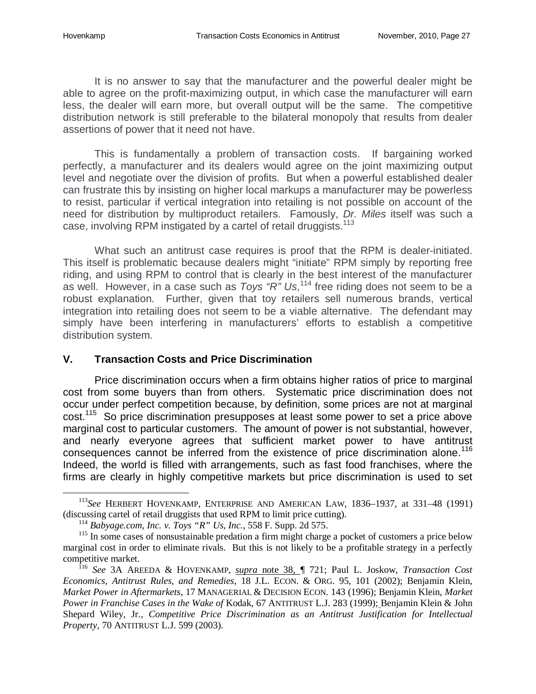l

It is no answer to say that the manufacturer and the powerful dealer might be able to agree on the profit-maximizing output, in which case the manufacturer will earn less, the dealer will earn more, but overall output will be the same. The competitive distribution network is still preferable to the bilateral monopoly that results from dealer assertions of power that it need not have.

This is fundamentally a problem of transaction costs. If bargaining worked perfectly, a manufacturer and its dealers would agree on the joint maximizing output level and negotiate over the division of profits. But when a powerful established dealer can frustrate this by insisting on higher local markups a manufacturer may be powerless to resist, particular if vertical integration into retailing is not possible on account of the need for distribution by multiproduct retailers. Famously, *Dr. Miles* itself was such a case, involving RPM instigated by a cartel of retail druggists.<sup>113</sup>

What such an antitrust case requires is proof that the RPM is dealer-initiated. This itself is problematic because dealers might "initiate" RPM simply by reporting free riding, and using RPM to control that is clearly in the best interest of the manufacturer as well. However, in a case such as *Toys "R" Us*, <sup>114</sup> free riding does not seem to be a robust explanation. Further, given that toy retailers sell numerous brands, vertical integration into retailing does not seem to be a viable alternative. The defendant may simply have been interfering in manufacturers' efforts to establish a competitive distribution system.

# **V. Transaction Costs and Price Discrimination**

Price discrimination occurs when a firm obtains higher ratios of price to marginal cost from some buyers than from others. Systematic price discrimination does not occur under perfect competition because, by definition, some prices are not at marginal cost.<sup>115</sup> So price discrimination presupposes at least some power to set a price above marginal cost to particular customers. The amount of power is not substantial, however, and nearly everyone agrees that sufficient market power to have antitrust consequences cannot be inferred from the existence of price discrimination alone.<sup>116</sup> Indeed, the world is filled with arrangements, such as fast food franchises, where the firms are clearly in highly competitive markets but price discrimination is used to set

<sup>113</sup>*See* HERBERT HOVENKAMP, ENTERPRISE AND AMERICAN LAW, 1836–1937, at 331–48 (1991) (discussing cartel of retail druggists that used RPM to limit price cutting).

<sup>114</sup> *Babyage.com, Inc. v. Toys "R" Us, Inc.*, 558 F. Supp. 2d 575.

<sup>&</sup>lt;sup>115</sup> In some cases of nonsustainable predation a firm might charge a pocket of customers a price below marginal cost in order to eliminate rivals. But this is not likely to be a profitable strategy in a perfectly competitive market.

<sup>116</sup> *See* 3A AREEDA & HOVENKAMP, *supra* note 38, ¶ 721; Paul L. Joskow, *Transaction Cost Economics, Antitrust Rules, and Remedies*, 18 J.L. ECON. & ORG. 95, 101 (2002); Benjamin Klein, *Market Power in Aftermarkets*, 17 MANAGERIAL & DECISION ECON. 143 (1996); Benjamin Klein, *Market Power in Franchise Cases in the Wake of* Kodak, 67 ANTITRUST L.J. 283 (1999); Benjamin Klein & John Shepard Wiley, Jr., *Competitive Price Discrimination as an Antitrust Justification for Intellectual Property*, 70 ANTITRUST L.J. 599 (2003).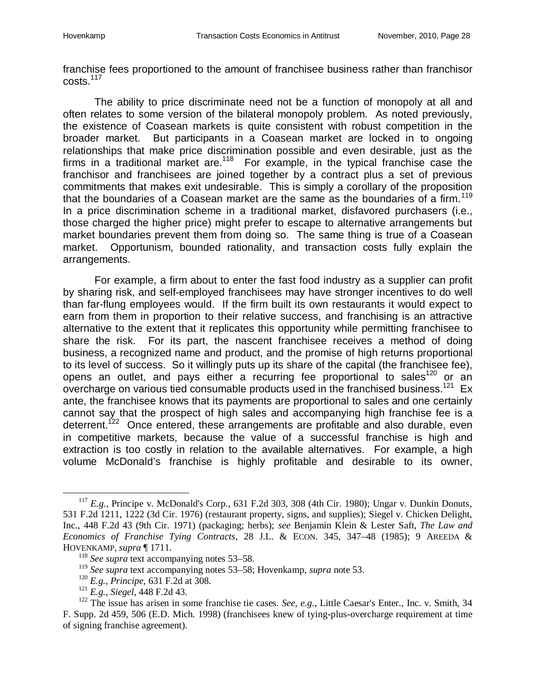franchise fees proportioned to the amount of franchisee business rather than franchisor costs.<sup>117</sup>

The ability to price discriminate need not be a function of monopoly at all and often relates to some version of the bilateral monopoly problem. As noted previously, the existence of Coasean markets is quite consistent with robust competition in the broader market. But participants in a Coasean market are locked in to ongoing relationships that make price discrimination possible and even desirable, just as the firms in a traditional market are. $118$  For example, in the typical franchise case the franchisor and franchisees are joined together by a contract plus a set of previous commitments that makes exit undesirable. This is simply a corollary of the proposition that the boundaries of a Coasean market are the same as the boundaries of a firm.<sup>119</sup> In a price discrimination scheme in a traditional market, disfavored purchasers (i.e., those charged the higher price) might prefer to escape to alternative arrangements but market boundaries prevent them from doing so. The same thing is true of a Coasean market. Opportunism, bounded rationality, and transaction costs fully explain the arrangements.

For example, a firm about to enter the fast food industry as a supplier can profit by sharing risk, and self-employed franchisees may have stronger incentives to do well than far-flung employees would. If the firm built its own restaurants it would expect to earn from them in proportion to their relative success, and franchising is an attractive alternative to the extent that it replicates this opportunity while permitting franchisee to share the risk. For its part, the nascent franchisee receives a method of doing business, a recognized name and product, and the promise of high returns proportional to its level of success. So it willingly puts up its share of the capital (the franchisee fee), opens an outlet, and pays either a recurring fee proportional to sales<sup>120</sup> or an overcharge on various tied consumable products used in the franchised business.<sup>121</sup> Ex ante, the franchisee knows that its payments are proportional to sales and one certainly cannot say that the prospect of high sales and accompanying high franchise fee is a deterrent.<sup>122</sup> Once entered, these arrangements are profitable and also durable, even in competitive markets, because the value of a successful franchise is high and extraction is too costly in relation to the available alternatives. For example, a high volume McDonald's franchise is highly profitable and desirable to its owner,

<sup>120</sup> *E.g.*, *Principe*, 631 F.2d at 308.

l <sup>117</sup> *E.g.*, Principe v. McDonald's Corp*.*, 631 F.2d 303, 308 (4th Cir. 1980); Ungar v. Dunkin Donuts, 531 F.2d 1211, 1222 (3d Cir. 1976) (restaurant property, signs, and supplies); Siegel v. Chicken Delight, Inc., 448 F.2d 43 (9th Cir. 1971) (packaging; herbs); *see* Benjamin Klein & Lester Saft, *The Law and Economics of Franchise Tying Contracts*, 28 J.L. & ECON. 345, 347–48 (1985); 9 AREEDA & HOVENKAMP, *supra* ¶ 1711.

<sup>118</sup> *See supra* text accompanying notes 53–58.

<sup>119</sup> *See supra* text accompanying notes 53–58; Hovenkamp, *supra* note 53.

<sup>121</sup> *E.g.*, *Siegel*, 448 F.2d 43.

<sup>&</sup>lt;sup>122</sup> The issue has arisen in some franchise tie cases. *See, e.g.*, Little Caesar's Enter., Inc. v. Smith, 34 F. Supp. 2d 459, 506 (E.D. Mich. 1998) (franchisees knew of tying-plus-overcharge requirement at time of signing franchise agreement).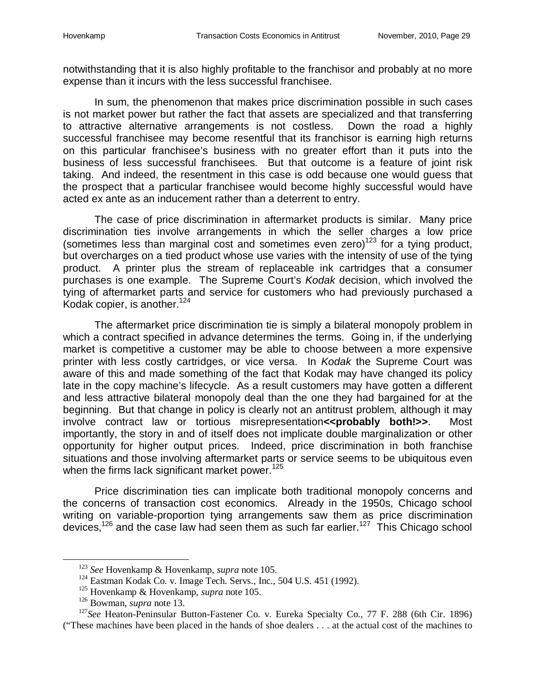notwithstanding that it is also highly profitable to the franchisor and probably at no more expense than it incurs with the less successful franchisee.

In sum, the phenomenon that makes price discrimination possible in such cases is not market power but rather the fact that assets are specialized and that transferring to attractive alternative arrangements is not costless. Down the road a highly successful franchisee may become resentful that its franchisor is earning high returns on this particular franchisee's business with no greater effort than it puts into the business of less successful franchisees. But that outcome is a feature of joint risk taking. And indeed, the resentment in this case is odd because one would guess that the prospect that a particular franchisee would become highly successful would have acted ex ante as an inducement rather than a deterrent to entry.

The case of price discrimination in aftermarket products is similar. Many price discrimination ties involve arrangements in which the seller charges a low price (sometimes less than marginal cost and sometimes even zero)<sup>123</sup> for a tying product, but overcharges on a tied product whose use varies with the intensity of use of the tying product. A printer plus the stream of replaceable ink cartridges that a consumer purchases is one example. The Supreme Court's *Kodak* decision, which involved the tying of aftermarket parts and service for customers who had previously purchased a Kodak copier, is another.<sup>124</sup>

The aftermarket price discrimination tie is simply a bilateral monopoly problem in which a contract specified in advance determines the terms. Going in, if the underlying market is competitive a customer may be able to choose between a more expensive printer with less costly cartridges, or vice versa. In *Kodak* the Supreme Court was aware of this and made something of the fact that Kodak may have changed its policy late in the copy machine's lifecycle. As a result customers may have gotten a different and less attractive bilateral monopoly deal than the one they had bargained for at the beginning. But that change in policy is clearly not an antitrust problem, although it may involve contract law or tortious misrepresentation<<probably both!>>. Most importantly, the story in and of itself does not implicate double marginalization or other opportunity for higher output prices. Indeed, price discrimination in both franchise situations and those involving aftermarket parts or service seems to be ubiquitous even when the firms lack significant market power.<sup>125</sup>

Price discrimination ties can implicate both traditional monopoly concerns and the concerns of transaction cost economics. Already in the 1950s, Chicago school writing on variable-proportion tying arrangements saw them as price discrimination devices,<sup>126</sup> and the case law had seen them as such far earlier.<sup>127</sup> This Chicago school

<sup>123</sup> *See* Hovenkamp & Hovenkamp, *supra* note 105.

<sup>&</sup>lt;sup>124</sup> Eastman Kodak Co. v. Image Tech. Servs., Inc., 504 U.S. 451 (1992).

<sup>125</sup> Hovenkamp & Hovenkamp, *supra* note 105.

<sup>126</sup> Bowman, *supra* note 13.

<sup>127</sup>*See* Heaton-Peninsular Button-Fastener Co. v. Eureka Specialty Co., 77 F. 288 (6th Cir. 1896) ("These machines have been placed in the hands of shoe dealers . . . at the actual cost of the machines to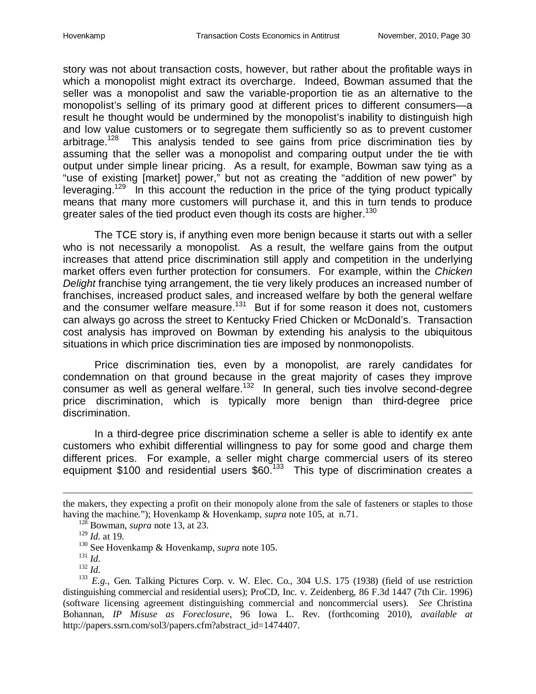story was not about transaction costs, however, but rather about the profitable ways in which a monopolist might extract its overcharge. Indeed, Bowman assumed that the seller was a monopolist and saw the variable-proportion tie as an alternative to the monopolist's selling of its primary good at different prices to different consumers—a result he thought would be undermined by the monopolist's inability to distinguish high and low value customers or to segregate them sufficiently so as to prevent customer arbitrage.<sup>128</sup> This analysis tended to see gains from price discrimination ties by assuming that the seller was a monopolist and comparing output under the tie with output under simple linear pricing. As a result, for example, Bowman saw tying as a "use of existing [market] power," but not as creating the "addition of new power" by leveraging.<sup>129</sup> In this account the reduction in the price of the tying product typically means that many more customers will purchase it, and this in turn tends to produce greater sales of the tied product even though its costs are higher.<sup>130</sup>

The TCE story is, if anything even more benign because it starts out with a seller who is not necessarily a monopolist. As a result, the welfare gains from the output increases that attend price discrimination still apply and competition in the underlying market offers even further protection for consumers. For example, within the *Chicken Delight* franchise tying arrangement, the tie very likely produces an increased number of franchises, increased product sales, and increased welfare by both the general welfare and the consumer welfare measure.<sup>131</sup> But if for some reason it does not, customers can always go across the street to Kentucky Fried Chicken or McDonald's. Transaction cost analysis has improved on Bowman by extending his analysis to the ubiquitous situations in which price discrimination ties are imposed by nonmonopolists.

Price discrimination ties, even by a monopolist, are rarely candidates for condemnation on that ground because in the great majority of cases they improve consumer as well as general welfare.<sup>132</sup> In general, such ties involve second-degree price discrimination, which is typically more benign than third-degree price discrimination.

In a third-degree price discrimination scheme a seller is able to identify ex ante customers who exhibit differential willingness to pay for some good and charge them different prices. For example, a seller might charge commercial users of its stereo equipment \$100 and residential users \$60.<sup>133</sup> This type of discrimination creates a

l

the makers, they expecting a profit on their monopoly alone from the sale of fasteners or staples to those having the machine."); Hovenkamp & Hovenkamp, *supra* note 105, at n.71.

<sup>128</sup> Bowman, *supra* note 13, at 23.

<sup>129</sup> *Id.* at 19.

<sup>130</sup> See Hovenkamp & Hovenkamp, *supra* note 105.

<sup>131</sup> *Id.*

<sup>132</sup> *Id.*

<sup>&</sup>lt;sup>133</sup> *E.g.*, Gen. Talking Pictures Corp. v. W. Elec. Co., 304 U.S. 175 (1938) (field of use restriction distinguishing commercial and residential users); ProCD, Inc. v. Zeidenberg, 86 F.3d 1447 (7th Cir. 1996) (software licensing agreement distinguishing commercial and noncommercial users). *See* Christina Bohannan, *IP Misuse as Foreclosure*, 96 Iowa L. Rev. (forthcoming 2010), *available at* http://papers.ssrn.com/sol3/papers.cfm?abstract\_id=1474407.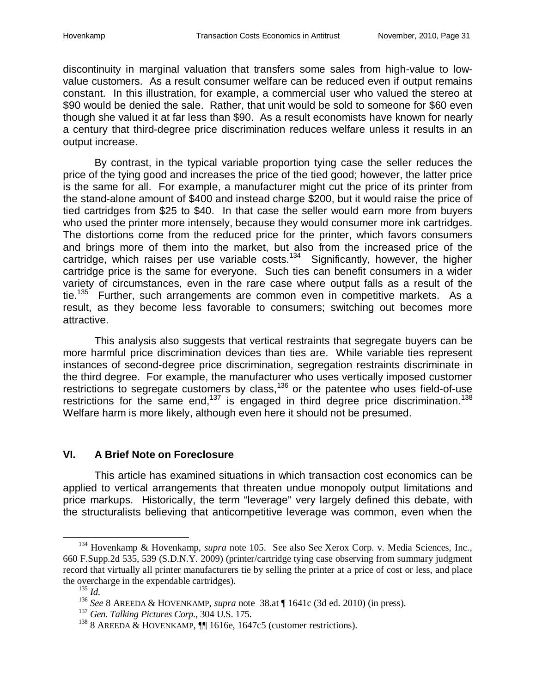discontinuity in marginal valuation that transfers some sales from high-value to lowvalue customers. As a result consumer welfare can be reduced even if output remains constant. In this illustration, for example, a commercial user who valued the stereo at \$90 would be denied the sale. Rather, that unit would be sold to someone for \$60 even though she valued it at far less than \$90. As a result economists have known for nearly a century that third-degree price discrimination reduces welfare unless it results in an output increase.

By contrast, in the typical variable proportion tying case the seller reduces the price of the tying good and increases the price of the tied good; however, the latter price is the same for all. For example, a manufacturer might cut the price of its printer from the stand-alone amount of \$400 and instead charge \$200, but it would raise the price of tied cartridges from \$25 to \$40. In that case the seller would earn more from buyers who used the printer more intensely, because they would consumer more ink cartridges. The distortions come from the reduced price for the printer, which favors consumers and brings more of them into the market, but also from the increased price of the cartridge, which raises per use variable costs.<sup>134</sup> Significantly, however, the higher cartridge price is the same for everyone. Such ties can benefit consumers in a wider variety of circumstances, even in the rare case where output falls as a result of the tie.<sup>135</sup> Further, such arrangements are common even in competitive markets. As a result, as they become less favorable to consumers; switching out becomes more attractive.

This analysis also suggests that vertical restraints that segregate buyers can be more harmful price discrimination devices than ties are. While variable ties represent instances of second-degree price discrimination, segregation restraints discriminate in the third degree. For example, the manufacturer who uses vertically imposed customer restrictions to segregate customers by class,<sup>136</sup> or the patentee who uses field-of-use restrictions for the same end, $137$  is engaged in third degree price discrimination.<sup>138</sup> Welfare harm is more likely, although even here it should not be presumed.

# **VI. A Brief Note on Foreclosure**

This article has examined situations in which transaction cost economics can be applied to vertical arrangements that threaten undue monopoly output limitations and price markups. Historically, the term "leverage" very largely defined this debate, with the structuralists believing that anticompetitive leverage was common, even when the

<sup>134</sup> Hovenkamp & Hovenkamp, *supra* note 105. See also See Xerox Corp. v. Media Sciences, Inc., 660 F.Supp.2d 535, 539 (S.D.N.Y. 2009) (printer/cartridge tying case observing from summary judgment record that virtually all printer manufacturers tie by selling the printer at a price of cost or less, and place the overcharge in the expendable cartridges).

<sup>135</sup> *Id.*

<sup>136</sup> *See* 8 AREEDA & HOVENKAMP, *supra* note 38.at ¶ 1641c (3d ed. 2010) (in press).

<sup>137</sup> *Gen. Talking Pictures Corp.*, 304 U.S. 175.

<sup>&</sup>lt;sup>138</sup> 8 AREEDA & HOVENKAMP,  $\P\P$  1616e, 1647c5 (customer restrictions).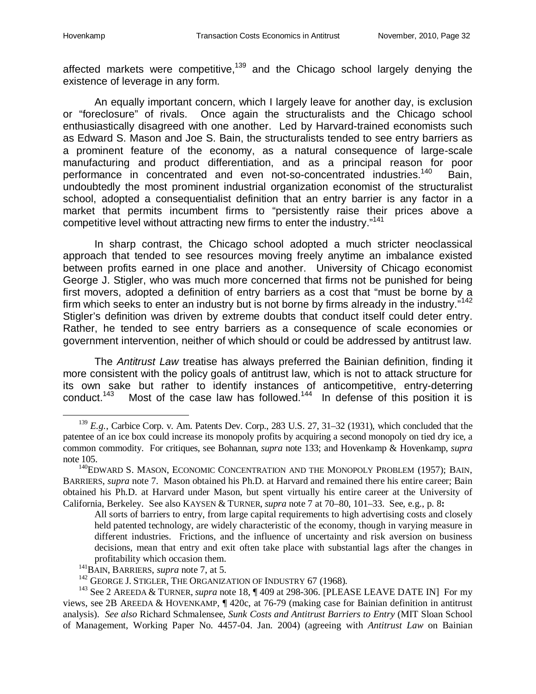affected markets were competitive,<sup>139</sup> and the Chicago school largely denying the existence of leverage in any form.

An equally important concern, which I largely leave for another day, is exclusion or "foreclosure" of rivals. Once again the structuralists and the Chicago school enthusiastically disagreed with one another. Led by Harvard-trained economists such as Edward S. Mason and Joe S. Bain, the structuralists tended to see entry barriers as a prominent feature of the economy, as a natural consequence of large-scale manufacturing and product differentiation, and as a principal reason for poor performance in concentrated and even not-so-concentrated industries.<sup>140</sup> Bain, undoubtedly the most prominent industrial organization economist of the structuralist school, adopted a consequentialist definition that an entry barrier is any factor in a market that permits incumbent firms to "persistently raise their prices above a competitive level without attracting new firms to enter the industry."<sup>141</sup>

In sharp contrast, the Chicago school adopted a much stricter neoclassical approach that tended to see resources moving freely anytime an imbalance existed between profits earned in one place and another. University of Chicago economist George J. Stigler, who was much more concerned that firms not be punished for being first movers, adopted a definition of entry barriers as a cost that "must be borne by a firm which seeks to enter an industry but is not borne by firms already in the industry."<sup>142</sup> Stigler's definition was driven by extreme doubts that conduct itself could deter entry. Rather, he tended to see entry barriers as a consequence of scale economies or government intervention, neither of which should or could be addressed by antitrust law.

The *Antitrust Law* treatise has always preferred the Bainian definition, finding it more consistent with the policy goals of antitrust law, which is not to attack structure for its own sake but rather to identify instances of anticompetitive, entry-deterring conduct.<sup>143</sup> Most of the case law has followed. $144$  In defense of this position it is

<sup>139</sup> *E.g.*, Carbice Corp. v. Am. Patents Dev. Corp., 283 U.S. 27, 31–32 (1931), which concluded that the patentee of an ice box could increase its monopoly profits by acquiring a second monopoly on tied dry ice, a common commodity. For critiques, see Bohannan, *supra* note 133; and Hovenkamp & Hovenkamp, *supra* note 105.

<sup>&</sup>lt;sup>140</sup>EDWARD S. MASON, ECONOMIC CONCENTRATION AND THE MONOPOLY PROBLEM (1957); BAIN, BARRIERS, *supra* note 7. Mason obtained his Ph.D. at Harvard and remained there his entire career; Bain obtained his Ph.D. at Harvard under Mason, but spent virtually his entire career at the University of California, Berkeley. See also KAYSEN & TURNER, *supra* note 7 at 70–80, 101–33. See, e.g., p. 8**:**

All sorts of barriers to entry, from large capital requirements to high advertising costs and closely held patented technology, are widely characteristic of the economy, though in varying measure in different industries. Frictions, and the influence of uncertainty and risk aversion on business decisions, mean that entry and exit often take place with substantial lags after the changes in profitability which occasion them.

<sup>&</sup>lt;sup>141</sup>BAIN, BARRIERS, *supra* note 7, at 5.

<sup>&</sup>lt;sup>142</sup> GEORGE J. STIGLER, THE ORGANIZATION OF INDUSTRY 67 (1968).

<sup>&</sup>lt;sup>143</sup> See 2 AREEDA & TURNER, *supra* note 18, ¶ 409 at 298-306. [PLEASE LEAVE DATE IN] For my views, see 2B AREEDA & HOVENKAMP, ¶ 420c, at 76-79 (making case for Bainian definition in antitrust analysis). *See also* Richard Schmalensee, *Sunk Costs and Antitrust Barriers to Entry* (MIT Sloan School of Management, Working Paper No. 4457-04. Jan. 2004) (agreeing with *Antitrust Law* on Bainian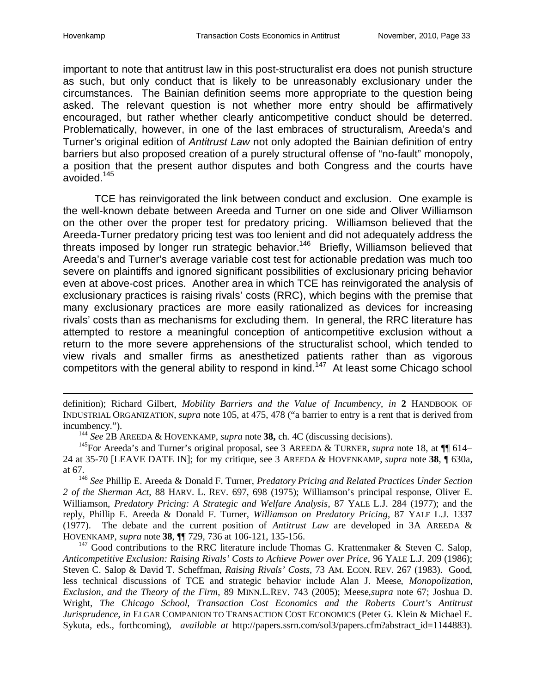important to note that antitrust law in this post-structuralist era does not punish structure as such, but only conduct that is likely to be unreasonably exclusionary under the circumstances. The Bainian definition seems more appropriate to the question being asked. The relevant question is not whether more entry should be affirmatively encouraged, but rather whether clearly anticompetitive conduct should be deterred. Problematically, however, in one of the last embraces of structuralism, Areeda's and Turner's original edition of *Antitrust Law* not only adopted the Bainian definition of entry barriers but also proposed creation of a purely structural offense of "no-fault" monopoly, a position that the present author disputes and both Congress and the courts have avoided.<sup>145</sup>

TCE has reinvigorated the link between conduct and exclusion. One example is the well-known debate between Areeda and Turner on one side and Oliver Williamson on the other over the proper test for predatory pricing. Williamson believed that the Areeda-Turner predatory pricing test was too lenient and did not adequately address the threats imposed by longer run strategic behavior.<sup>146</sup> Briefly, Williamson believed that Areeda's and Turner's average variable cost test for actionable predation was much too severe on plaintiffs and ignored significant possibilities of exclusionary pricing behavior even at above-cost prices. Another area in which TCE has reinvigorated the analysis of exclusionary practices is raising rivals' costs (RRC), which begins with the premise that many exclusionary practices are more easily rationalized as devices for increasing rivals' costs than as mechanisms for excluding them. In general, the RRC literature has attempted to restore a meaningful conception of anticompetitive exclusion without a return to the more severe apprehensions of the structuralist school, which tended to view rivals and smaller firms as anesthetized patients rather than as vigorous competitors with the general ability to respond in kind.<sup>147</sup> At least some Chicago school

definition); Richard Gilbert, *Mobility Barriers and the Value of Incumbency*, *in* **2** HANDBOOK OF INDUSTRIAL ORGANIZATION, *supra* note 105, at 475, 478 ("a barrier to entry is a rent that is derived from incumbency.").

<sup>144</sup> *See* 2B AREEDA & HOVENKAMP, *supra* note **38,** ch. 4C (discussing decisions).

<sup>145</sup>For Areeda's and Turner's original proposal, see 3 AREEDA & TURNER, *supra* note 18, at  $\P$  614– 24 at 35-70 [LEAVE DATE IN]; for my critique, see 3 AREEDA & HOVENKAMP, *supra* note **38**, ¶ 630a, at 67.

<sup>146</sup> *See* Phillip E. Areeda & Donald F. Turner, *Predatory Pricing and Related Practices Under Section 2 of the Sherman Act*, 88 HARV. L. REV. 697, 698 (1975); Williamson's principal response, Oliver E. Williamson, *Predatory Pricing: A Strategic and Welfare Analysis*, 87 YALE L.J. 284 (1977); and the reply, Phillip E. Areeda & Donald F. Turner, *Williamson on Predatory Pricing*, 87 YALE L.J. 1337 (1977). The debate and the current position of *Antitrust Law* are developed in 3A AREEDA & HOVENKAMP, *supra* note **38**, ¶¶ 729, 736 at 106-121, 135-156.

<sup>147</sup> Good contributions to the RRC literature include Thomas G. Krattenmaker & Steven C. Salop, *Anticompetitive Exclusion: Raising Rivals' Costs to Achieve Power over Price*, 96 YALE L.J. 209 (1986); Steven C. Salop & David T. Scheffman, *Raising Rivals' Costs*, 73 AM. ECON. REV. 267 (1983). Good, less technical discussions of TCE and strategic behavior include Alan J. Meese, *Monopolization, Exclusion, and the Theory of the Firm*, 89 MINN.L.REV. 743 (2005); Meese,*supra* note 67; Joshua D. Wright, *The Chicago School, Transaction Cost Economics and the Roberts Court's Antitrust Jurisprudence, in* ELGAR COMPANION TO TRANSACTION COST ECONOMICS (Peter G. Klein & Michael E. Sykuta, eds., forthcoming), *available at* http://papers.ssrn.com/sol3/papers.cfm?abstract\_id=1144883).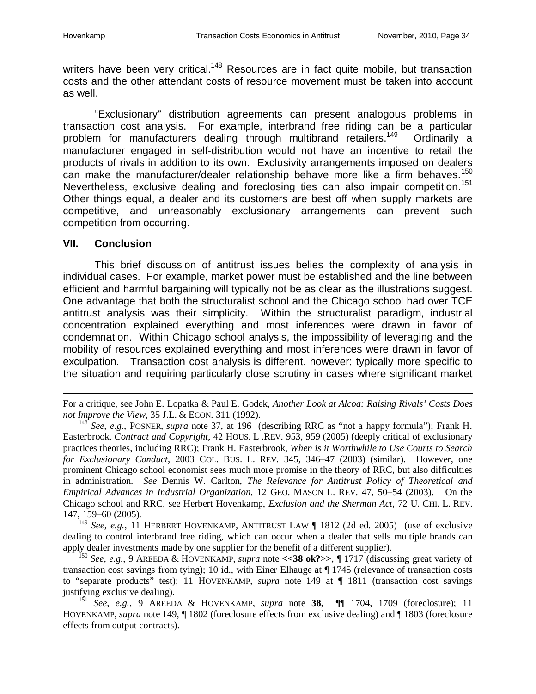writers have been very critical.<sup>148</sup> Resources are in fact quite mobile, but transaction costs and the other attendant costs of resource movement must be taken into account as well.

"Exclusionary" distribution agreements can present analogous problems in transaction cost analysis. For example, interbrand free riding can be a particular problem for manufacturers dealing through multibrand retailers.<sup>149</sup> Ordinarily a manufacturer engaged in self-distribution would not have an incentive to retail the products of rivals in addition to its own. Exclusivity arrangements imposed on dealers can make the manufacturer/dealer relationship behave more like a firm behaves.<sup>150</sup> Nevertheless, exclusive dealing and foreclosing ties can also impair competition.<sup>151</sup> Other things equal, a dealer and its customers are best off when supply markets are competitive, and unreasonably exclusionary arrangements can prevent such competition from occurring.

#### **VII. Conclusion**

 $\overline{a}$ 

This brief discussion of antitrust issues belies the complexity of analysis in individual cases. For example, market power must be established and the line between efficient and harmful bargaining will typically not be as clear as the illustrations suggest. One advantage that both the structuralist school and the Chicago school had over TCE antitrust analysis was their simplicity. Within the structuralist paradigm, industrial concentration explained everything and most inferences were drawn in favor of condemnation. Within Chicago school analysis, the impossibility of leveraging and the mobility of resources explained everything and most inferences were drawn in favor of exculpation. Transaction cost analysis is different, however; typically more specific to the situation and requiring particularly close scrutiny in cases where significant market

For a critique, see John E. Lopatka & Paul E. Godek, *Another Look at Alcoa: Raising Rivals' Costs Does not Improve the View*, 35 J.L. & ECON. 311 (1992).

<sup>148</sup> *See, e.g.*, POSNER, *supra* note 37, at 196 (describing RRC as "not a happy formula"); Frank H. Easterbrook, *Contract and Copyright*, 42 HOUS. L .REV. 953, 959 (2005) (deeply critical of exclusionary practices theories, including RRC); Frank H. Easterbrook, *When is it Worthwhile to Use Courts to Search for Exclusionary Conduct*, 2003 COL. BUS. L. REV. 345, 346–47 (2003) (similar). However, one prominent Chicago school economist sees much more promise in the theory of RRC, but also difficulties in administration. *See* Dennis W. Carlton, *The Relevance for Antitrust Policy of Theoretical and Empirical Advances in Industrial Organization*, 12 GEO. MASON L. REV. 47, 50–54 (2003). On the Chicago school and RRC, see Herbert Hovenkamp, *Exclusion and the Sherman Act*, 72 U. CHI. L. REV. 147, 159–60 (2005).

<sup>149</sup> *See, e.g.*, 11 HERBERT HOVENKAMP, ANTITRUST LAW ¶ 1812 (2d ed. 2005) (use of exclusive dealing to control interbrand free riding, which can occur when a dealer that sells multiple brands can apply dealer investments made by one supplier for the benefit of a different supplier).

<sup>150</sup> *See, e.g.*, 9 AREEDA & HOVENKAMP, *supra* note **<<38 ok?>>**, ¶ 1717 (discussing great variety of transaction cost savings from tying); 10 id., with Einer Elhauge at ¶ 1745 (relevance of transaction costs to "separate products" test); 11 HOVENKAMP, *supra* note 149 at ¶ 1811 (transaction cost savings justifying exclusive dealing).

<sup>151</sup> *See, e.g.*, 9 AREEDA & HOVENKAMP, *supra* note **38,** ¶¶ 1704, 1709 (foreclosure); 11 HOVENKAMP, *supra* note 149, ¶ 1802 (foreclosure effects from exclusive dealing) and ¶ 1803 (foreclosure effects from output contracts).